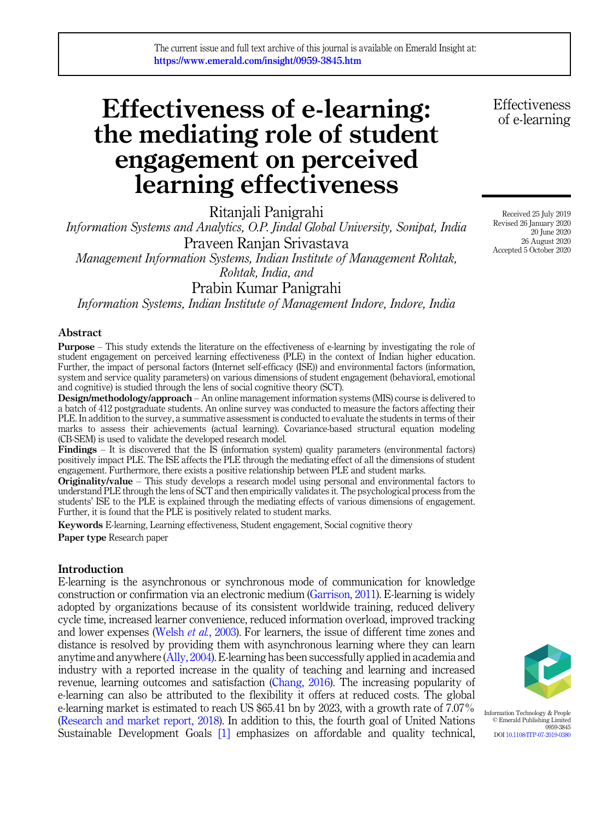The current issue and full text archive of this journal is available on Emerald Insight at: https://www.emerald.com/insight/0959-3845.htm

# Effectiveness of e-learning: the mediating role of student engagement on perceived learning effectiveness

Ritanjali Panigrahi

*Information Systems and Analytics, O.P. Jindal Global University, Sonipat, India* Praveen Ranjan Srivastava

*Management Information Systems, Indian Institute of Management Rohtak, Rohtak, India, and*

Prabin Kumar Panigrahi

*Information Systems, Indian Institute of Management Indore, Indore, India*

#### Abstract

Purpose – This study extends the literature on the effectiveness of e-learning by investigating the role of student engagement on perceived learning effectiveness (PLE) in the context of Indian higher education. Further, the impact of personal factors (Internet self-efficacy (ISE)) and environmental factors (information, system and service quality parameters) on various dimensions of student engagement (behavioral, emotional and cognitive) is studied through the lens of social cognitive theory (SCT).

Design/methodology/approach – An online management information systems (MIS) course is delivered to a batch of 412 postgraduate students. An online survey was conducted to measure the factors affecting their PLE. In addition to the survey, a summative assessment is conducted to evaluate the students in terms of their marks to assess their achievements (actual learning). Covariance-based structural equation modeling (CB-SEM) is used to validate the developed research model.

Findings – It is discovered that the IS (information system) quality parameters (environmental factors) positively impact PLE. The ISE affects the PLE through the mediating effect of all the dimensions of student engagement. Furthermore, there exists a positive relationship between PLE and student marks.

**Originality/value** – This study develops a research model using personal and environmental factors to understand PLE through the lens of SCT and then empirically validates it. The psychological process from the students' ISE to the PLE is explained through the mediating effects of various dimensions of engagement. Further, it is found that the PLE is positively related to student marks.

Keywords E-learning, Learning effectiveness, Student engagement, Social cognitive theory Paper type Research paper

# Introduction

E-learning is the asynchronous or synchronous mode of communication for knowledge construction or confirmation via an electronic medium (Garrison, 2011). E-learning is widely adopted by organizations because of its consistent worldwide training, reduced delivery cycle time, increased learner convenience, reduced information overload, improved tracking and lower expenses (Welsh *et al.*, 2003). For learners, the issue of different time zones and distance is resolved by providing them with asynchronous learning where they can learn anytime and anywhere (Ally, 2004). E-learning has been successfully applied in academia and industry with a reported increase in the quality of teaching and learning and increased revenue, learning outcomes and satisfaction (Chang, 2016). The increasing popularity of e-learning can also be attributed to the flexibility it offers at reduced costs. The global e-learning market is estimated to reach US \$65.41 bn by 2023, with a growth rate of 7.07% (Research and market report, 2018). In addition to this, the fourth goal of United Nations Sustainable Development Goals [1] emphasizes on affordable and quality technical,



Information Technology & People © Emerald Publishing Limited 0959-3845 DOI 10.1108/ITP-07-2019-0380

**Effectiveness** of e-learning

Received 25 July 2019 Revised 26 January 2020 20 June 2020 26 August 2020 Accepted 5 October 2020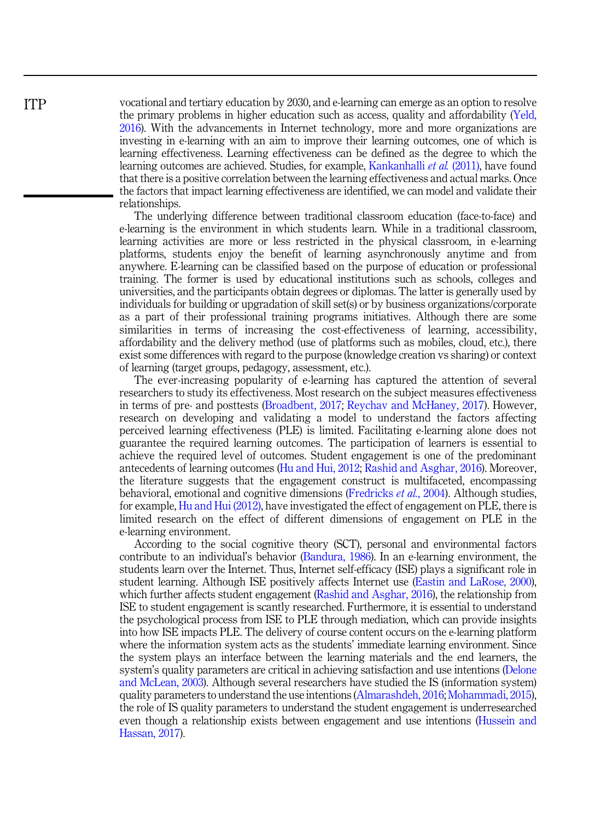vocational and tertiary education by 2030, and e-learning can emerge as an option to resolve the primary problems in higher education such as access, quality and affordability (Yeld, 2016). With the advancements in Internet technology, more and more organizations are investing in e-learning with an aim to improve their learning outcomes, one of which is learning effectiveness. Learning effectiveness can be defined as the degree to which the learning outcomes are achieved. Studies, for example, Kankanhalli *et al.* (2011), have found that there is a positive correlation between the learning effectiveness and actual marks. Once the factors that impact learning effectiveness are identified, we can model and validate their relationships.

The underlying difference between traditional classroom education (face-to-face) and e-learning is the environment in which students learn. While in a traditional classroom, learning activities are more or less restricted in the physical classroom, in e-learning platforms, students enjoy the benefit of learning asynchronously anytime and from anywhere. E-learning can be classified based on the purpose of education or professional training. The former is used by educational institutions such as schools, colleges and universities, and the participants obtain degrees or diplomas. The latter is generally used by individuals for building or upgradation of skill set(s) or by business organizations/corporate as a part of their professional training programs initiatives. Although there are some similarities in terms of increasing the cost-effectiveness of learning, accessibility, affordability and the delivery method (use of platforms such as mobiles, cloud, etc.), there exist some differences with regard to the purpose (knowledge creation vs sharing) or context of learning (target groups, pedagogy, assessment, etc.).

The ever-increasing popularity of e-learning has captured the attention of several researchers to study its effectiveness. Most research on the subject measures effectiveness in terms of pre- and posttests (Broadbent, 2017; Reychav and McHaney, 2017). However, research on developing and validating a model to understand the factors affecting perceived learning effectiveness (PLE) is limited. Facilitating e-learning alone does not guarantee the required learning outcomes. The participation of learners is essential to achieve the required level of outcomes. Student engagement is one of the predominant antecedents of learning outcomes (Hu and Hui, 2012; Rashid and Asghar, 2016). Moreover, the literature suggests that the engagement construct is multifaceted, encompassing behavioral, emotional and cognitive dimensions (Fredricks *et al.*, 2004). Although studies, for example, Hu and Hui (2012), have investigated the effect of engagement on PLE, there is limited research on the effect of different dimensions of engagement on PLE in the e-learning environment.

According to the social cognitive theory (SCT), personal and environmental factors contribute to an individual's behavior (Bandura, 1986). In an e-learning environment, the students learn over the Internet. Thus, Internet self-efficacy (ISE) plays a significant role in student learning. Although ISE positively affects Internet use (Eastin and LaRose, 2000), which further affects student engagement (Rashid and Asghar, 2016), the relationship from ISE to student engagement is scantly researched. Furthermore, it is essential to understand the psychological process from ISE to PLE through mediation, which can provide insights into how ISE impacts PLE. The delivery of course content occurs on the e-learning platform where the information system acts as the students' immediate learning environment. Since the system plays an interface between the learning materials and the end learners, the system's quality parameters are critical in achieving satisfaction and use intentions (Delone and McLean, 2003). Although several researchers have studied the IS (information system) quality parameters to understand the use intentions (Almarashdeh, 2016; Mohammadi, 2015), the role of IS quality parameters to understand the student engagement is underresearched even though a relationship exists between engagement and use intentions (Hussein and Hassan, 2017).

ITP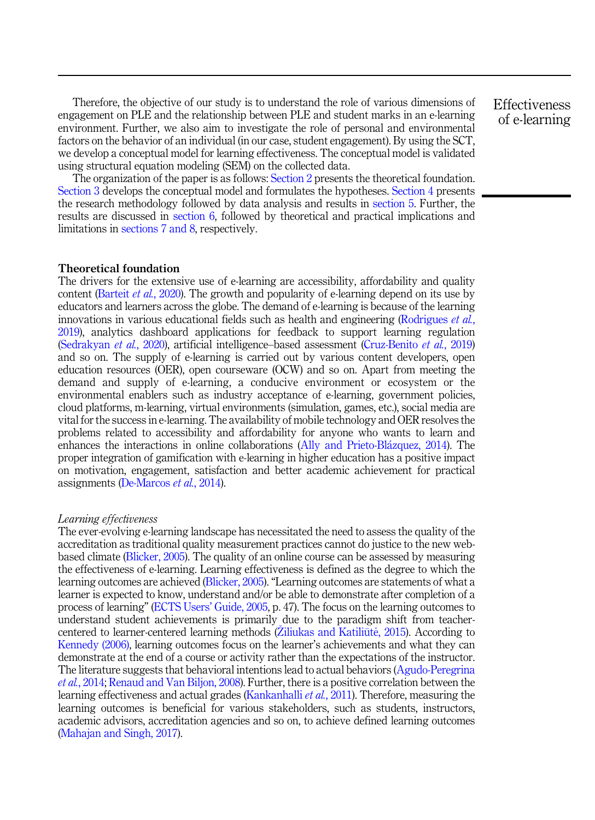Therefore, the objective of our study is to understand the role of various dimensions of engagement on PLE and the relationship between PLE and student marks in an e-learning environment. Further, we also aim to investigate the role of personal and environmental factors on the behavior of an individual (in our case, student engagement). By using the SCT, we develop a conceptual model for learning effectiveness. The conceptual model is validated using structural equation modeling (SEM) on the collected data.

The organization of the paper is as follows: Section 2 presents the theoretical foundation. Section 3 develops the conceptual model and formulates the hypotheses. Section 4 presents the research methodology followed by data analysis and results in section 5. Further, the results are discussed in section 6, followed by theoretical and practical implications and limitations in sections 7 and 8, respectively.

# Theoretical foundation

The drivers for the extensive use of e-learning are accessibility, affordability and quality content (Barteit *et al.*, 2020). The growth and popularity of e-learning depend on its use by educators and learners across the globe. The demand of e-learning is because of the learning innovations in various educational fields such as health and engineering (Rodrigues *et al.*, 2019), analytics dashboard applications for feedback to support learning regulation (Sedrakyan *et al.*, 2020), artificial intelligence–based assessment (Cruz-Benito *et al.*, 2019) and so on. The supply of e-learning is carried out by various content developers, open education resources (OER), open courseware (OCW) and so on. Apart from meeting the demand and supply of e-learning, a conducive environment or ecosystem or the environmental enablers such as industry acceptance of e-learning, government policies, cloud platforms, m-learning, virtual environments (simulation, games, etc.), social media are vital for the success in e-learning. The availability of mobile technology and OER resolves the problems related to accessibility and affordability for anyone who wants to learn and enhances the interactions in online collaborations (Ally and Prieto-Blazquez, 2014). The proper integration of gamification with e-learning in higher education has a positive impact on motivation, engagement, satisfaction and better academic achievement for practical assignments (De-Marcos *et al.*, 2014).

#### *Learning effectiveness*

The ever-evolving e-learning landscape has necessitated the need to assess the quality of the accreditation as traditional quality measurement practices cannot do justice to the new webbased climate (Blicker, 2005). The quality of an online course can be assessed by measuring the effectiveness of e-learning. Learning effectiveness is defined as the degree to which the learning outcomes are achieved (Blicker, 2005). "Learning outcomes are statements of what a learner is expected to know, understand and/or be able to demonstrate after completion of a process of learning" (ECTS Users' Guide, 2005, p. 47). The focus on the learning outcomes to understand student achievements is primarily due to the paradigm shift from teachercentered to learner-centered learning methods (Ziliukas and Katiliute, 2015). According to Kennedy (2006), learning outcomes focus on the learner's achievements and what they can demonstrate at the end of a course or activity rather than the expectations of the instructor. The literature suggests that behavioral intentions lead to actual behaviors (Agudo-Peregrina *et al.*, 2014; Renaud and Van Biljon, 2008). Further, there is a positive correlation between the learning effectiveness and actual grades (Kankanhalli *et al.*, 2011). Therefore, measuring the learning outcomes is beneficial for various stakeholders, such as students, instructors, academic advisors, accreditation agencies and so on, to achieve defined learning outcomes (Mahajan and Singh, 2017).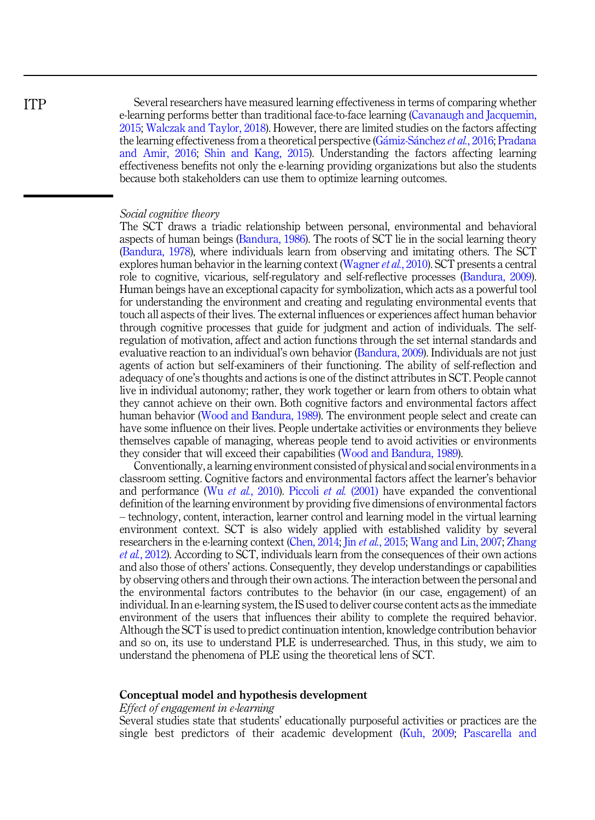# ITP

Several researchers have measured learning effectiveness in terms of comparing whether e-learning performs better than traditional face-to-face learning (Cavanaugh and Jacquemin, 2015; Walczak and Taylor, 2018). However, there are limited studies on the factors affecting the learning effectiveness from a theoretical perspective (Gamiz-Sanchez *et al.*, 2016; Pradana and Amir, 2016; Shin and Kang, 2015). Understanding the factors affecting learning effectiveness benefits not only the e-learning providing organizations but also the students because both stakeholders can use them to optimize learning outcomes.

### *Social cognitive theory*

The SCT draws a triadic relationship between personal, environmental and behavioral aspects of human beings (Bandura, 1986). The roots of SCT lie in the social learning theory (Bandura, 1978), where individuals learn from observing and imitating others. The SCT explores human behavior in the learning context (Wagner*et al.*, 2010). SCT presents a central role to cognitive, vicarious, self-regulatory and self-reflective processes (Bandura, 2009). Human beings have an exceptional capacity for symbolization, which acts as a powerful tool for understanding the environment and creating and regulating environmental events that touch all aspects of their lives. The external influences or experiences affect human behavior through cognitive processes that guide for judgment and action of individuals. The selfregulation of motivation, affect and action functions through the set internal standards and evaluative reaction to an individual's own behavior (Bandura, 2009). Individuals are not just agents of action but self-examiners of their functioning. The ability of self-reflection and adequacy of one's thoughts and actions is one of the distinct attributes in SCT. People cannot live in individual autonomy; rather, they work together or learn from others to obtain what they cannot achieve on their own. Both cognitive factors and environmental factors affect human behavior (Wood and Bandura, 1989). The environment people select and create can have some influence on their lives. People undertake activities or environments they believe themselves capable of managing, whereas people tend to avoid activities or environments they consider that will exceed their capabilities (Wood and Bandura, 1989).

Conventionally, a learning environment consisted of physical and social environments in a classroom setting. Cognitive factors and environmental factors affect the learner's behavior and performance (Wu *et al.*, 2010). Piccoli *et al.* (2001) have expanded the conventional definition of the learning environment by providing five dimensions of environmental factors – technology, content, interaction, learner control and learning model in the virtual learning environment context. SCT is also widely applied with established validity by several researchers in the e-learning context (Chen, 2014; Jin *et al.*, 2015; Wang and Lin, 2007; Zhang *et al.*, 2012). According to SCT, individuals learn from the consequences of their own actions and also those of others' actions. Consequently, they develop understandings or capabilities by observing others and through their own actions. The interaction between the personal and the environmental factors contributes to the behavior (in our case, engagement) of an individual. In an e-learning system, the IS used to deliver course content acts as the immediate environment of the users that influences their ability to complete the required behavior. Although the SCT is used to predict continuation intention, knowledge contribution behavior and so on, its use to understand PLE is underresearched. Thus, in this study, we aim to understand the phenomena of PLE using the theoretical lens of SCT.

# Conceptual model and hypothesis development

#### *Effect of engagement in e-learning*

Several studies state that students' educationally purposeful activities or practices are the single best predictors of their academic development (Kuh, 2009; Pascarella and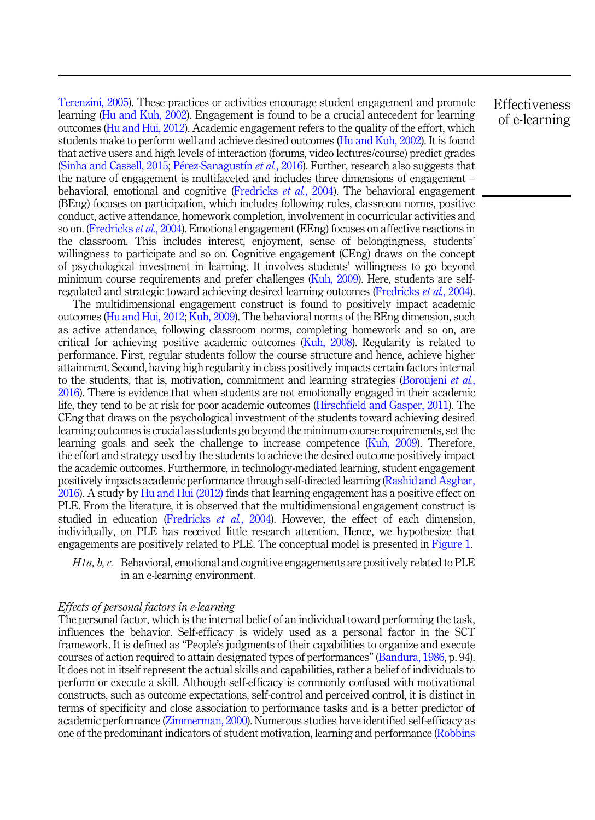Terenzini, 2005). These practices or activities encourage student engagement and promote learning (Hu and Kuh, 2002). Engagement is found to be a crucial antecedent for learning outcomes (Hu and Hui, 2012). Academic engagement refers to the quality of the effort, which students make to perform well and achieve desired outcomes (Hu and Kuh, 2002). It is found that active users and high levels of interaction (forums, video lectures/course) predict grades (Sinha and Cassell, 2015; Pérez-Sanagustín *et al.*, 2016). Further, research also suggests that the nature of engagement is multifaceted and includes three dimensions of engagement – behavioral, emotional and cognitive (Fredricks *et al.*, 2004). The behavioral engagement (BEng) focuses on participation, which includes following rules, classroom norms, positive conduct, active attendance, homework completion, involvement in cocurricular activities and so on. (Fredricks *et al.*, 2004). Emotional engagement (EEng) focuses on affective reactions in the classroom. This includes interest, enjoyment, sense of belongingness, students' willingness to participate and so on. Cognitive engagement (CEng) draws on the concept of psychological investment in learning. It involves students' willingness to go beyond minimum course requirements and prefer challenges (Kuh, 2009). Here, students are selfregulated and strategic toward achieving desired learning outcomes (Fredricks *et al.*, 2004).

The multidimensional engagement construct is found to positively impact academic outcomes (Hu and Hui, 2012; Kuh, 2009). The behavioral norms of the BEng dimension, such as active attendance, following classroom norms, completing homework and so on, are critical for achieving positive academic outcomes (Kuh, 2008). Regularity is related to performance. First, regular students follow the course structure and hence, achieve higher attainment. Second, having high regularity in class positively impacts certain factors internal to the students, that is, motivation, commitment and learning strategies (Boroujeni *et al.*, 2016). There is evidence that when students are not emotionally engaged in their academic life, they tend to be at risk for poor academic outcomes (Hirschfield and Gasper, 2011). The CEng that draws on the psychological investment of the students toward achieving desired learning outcomes is crucial as students go beyond the minimum course requirements, set the learning goals and seek the challenge to increase competence (Kuh, 2009). Therefore, the effort and strategy used by the students to achieve the desired outcome positively impact the academic outcomes. Furthermore, in technology-mediated learning, student engagement positively impacts academic performance through self-directed learning (Rashid and Asghar, 2016). A study by Hu and Hui (2012) finds that learning engagement has a positive effect on PLE. From the literature, it is observed that the multidimensional engagement construct is studied in education (Fredricks *et al.*, 2004). However, the effect of each dimension, individually, on PLE has received little research attention. Hence, we hypothesize that engagements are positively related to PLE. The conceptual model is presented in Figure 1.

*H1a, b, c.* Behavioral, emotional and cognitive engagements are positively related to PLE in an e-learning environment.

#### *Effects of personal factors in e-learning*

The personal factor, which is the internal belief of an individual toward performing the task, influences the behavior. Self-efficacy is widely used as a personal factor in the SCT framework. It is defined as "People's judgments of their capabilities to organize and execute courses of action required to attain designated types of performances" (Bandura, 1986, p. 94). It does not in itself represent the actual skills and capabilities, rather a belief of individuals to perform or execute a skill. Although self-efficacy is commonly confused with motivational constructs, such as outcome expectations, self-control and perceived control, it is distinct in terms of specificity and close association to performance tasks and is a better predictor of academic performance (Zimmerman, 2000). Numerous studies have identified self-efficacy as one of the predominant indicators of student motivation, learning and performance (Robbins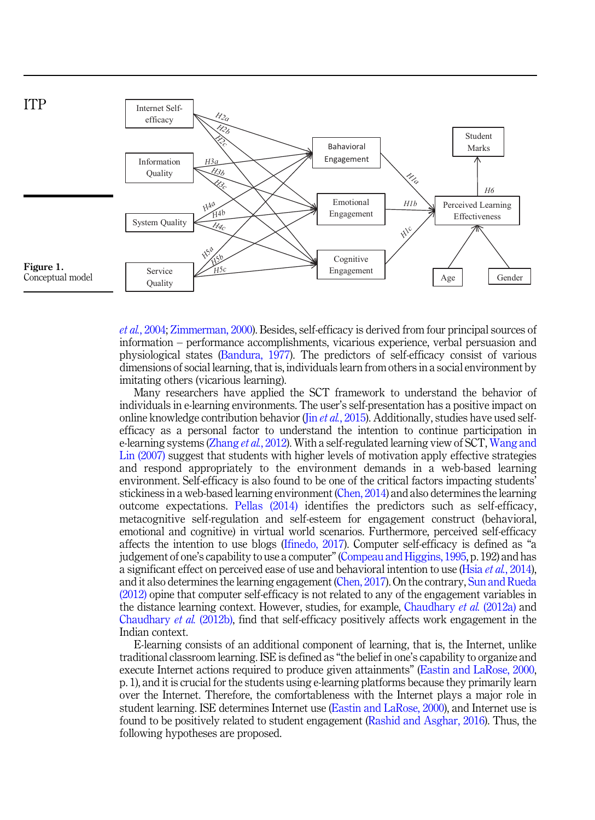

*et al.*, 2004; Zimmerman, 2000). Besides, self-efficacy is derived from four principal sources of information – performance accomplishments, vicarious experience, verbal persuasion and physiological states (Bandura, 1977). The predictors of self-efficacy consist of various dimensions of social learning, that is, individuals learn from others in a social environment by imitating others (vicarious learning).

Many researchers have applied the SCT framework to understand the behavior of individuals in e-learning environments. The user's self-presentation has a positive impact on online knowledge contribution behavior (Jin *et al.*, 2015). Additionally, studies have used selfefficacy as a personal factor to understand the intention to continue participation in e-learning systems (Zhang *et al.*, 2012). With a self-regulated learning view of SCT, Wang and Lin (2007) suggest that students with higher levels of motivation apply effective strategies and respond appropriately to the environment demands in a web-based learning environment. Self-efficacy is also found to be one of the critical factors impacting students' stickiness in a web-based learning environment (Chen, 2014) and also determines the learning outcome expectations. Pellas (2014) identifies the predictors such as self-efficacy, metacognitive self-regulation and self-esteem for engagement construct (behavioral, emotional and cognitive) in virtual world scenarios. Furthermore, perceived self-efficacy affects the intention to use blogs (Ifinedo, 2017). Computer self-efficacy is defined as "a judgement of one's capability to use a computer"(Compeau and Higgins, 1995, p. 192) and has a significant effect on perceived ease of use and behavioral intention to use (Hsia *et al.*, 2014), and it also determines the learning engagement (Chen, 2017). On the contrary, Sun and Rueda (2012) opine that computer self-efficacy is not related to any of the engagement variables in the distance learning context. However, studies, for example, Chaudhary *et al.* (2012a) and Chaudhary *et al.* (2012b), find that self-efficacy positively affects work engagement in the Indian context.

E-learning consists of an additional component of learning, that is, the Internet, unlike traditional classroom learning. ISE is defined as "the belief in one's capability to organize and execute Internet actions required to produce given attainments" (Eastin and LaRose, 2000, p. 1), and it is crucial for the students using e-learning platforms because they primarily learn over the Internet. Therefore, the comfortableness with the Internet plays a major role in student learning. ISE determines Internet use (Eastin and LaRose, 2000), and Internet use is found to be positively related to student engagement (Rashid and Asghar, 2016). Thus, the following hypotheses are proposed.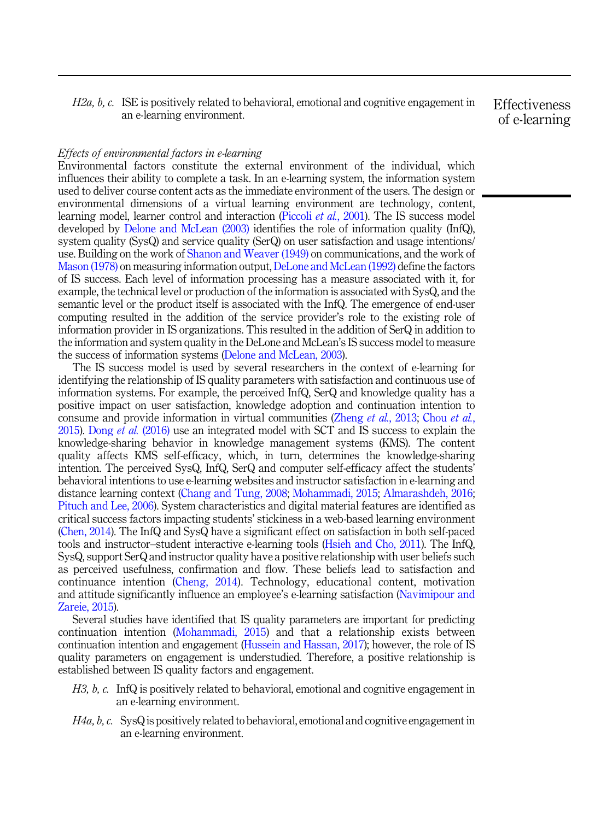*H2a, b, c.* ISE is positively related to behavioral, emotional and cognitive engagement in an e-learning environment.

**Effectiveness** of e-learning

# *Effects of environmental factors in e-learning*

Environmental factors constitute the external environment of the individual, which influences their ability to complete a task. In an e-learning system, the information system used to deliver course content acts as the immediate environment of the users. The design or environmental dimensions of a virtual learning environment are technology, content, learning model, learner control and interaction (Piccoli *et al.*, 2001). The IS success model developed by Delone and McLean (2003) identifies the role of information quality (InfQ), system quality (SysQ) and service quality (SerQ) on user satisfaction and usage intentions/ use. Building on the work of Shanon and Weaver (1949) on communications, and the work of Mason (1978) on measuring information output, DeLone and McLean (1992) define the factors of IS success. Each level of information processing has a measure associated with it, for example, the technical level or production of the information is associated with SysQ, and the semantic level or the product itself is associated with the InfQ. The emergence of end-user computing resulted in the addition of the service provider's role to the existing role of information provider in IS organizations. This resulted in the addition of SerQ in addition to the information and system quality in the DeLone and McLean's IS success model to measure the success of information systems (Delone and McLean, 2003).

The IS success model is used by several researchers in the context of e-learning for identifying the relationship of IS quality parameters with satisfaction and continuous use of information systems. For example, the perceived InfQ, SerQ and knowledge quality has a positive impact on user satisfaction, knowledge adoption and continuation intention to consume and provide information in virtual communities (Zheng *et al.*, 2013; Chou *et al.*, 2015). Dong *et al.* (2016) use an integrated model with SCT and IS success to explain the knowledge-sharing behavior in knowledge management systems (KMS). The content quality affects KMS self-efficacy, which, in turn, determines the knowledge-sharing intention. The perceived SysQ, InfQ, SerQ and computer self-efficacy affect the students' behavioral intentions to use e-learning websites and instructor satisfaction in e-learning and distance learning context (Chang and Tung, 2008; Mohammadi, 2015; Almarashdeh, 2016; Pituch and Lee, 2006). System characteristics and digital material features are identified as critical success factors impacting students' stickiness in a web-based learning environment (Chen, 2014). The InfQ and SysQ have a significant effect on satisfaction in both self-paced tools and instructor–student interactive e-learning tools (Hsieh and Cho, 2011). The InfQ, SysQ, support SerQ and instructor quality have a positive relationship with user beliefs such as perceived usefulness, confirmation and flow. These beliefs lead to satisfaction and continuance intention (Cheng, 2014). Technology, educational content, motivation and attitude significantly influence an employee's e-learning satisfaction (Navimipour and Zareie, 2015).

Several studies have identified that IS quality parameters are important for predicting continuation intention (Mohammadi, 2015) and that a relationship exists between continuation intention and engagement (Hussein and Hassan, 2017); however, the role of IS quality parameters on engagement is understudied. Therefore, a positive relationship is established between IS quality factors and engagement.

- *H3, b, c.* InfQ is positively related to behavioral, emotional and cognitive engagement in an e-learning environment.
- *H4a, b, c.* SysQ is positively related to behavioral, emotional and cognitive engagement in an e-learning environment.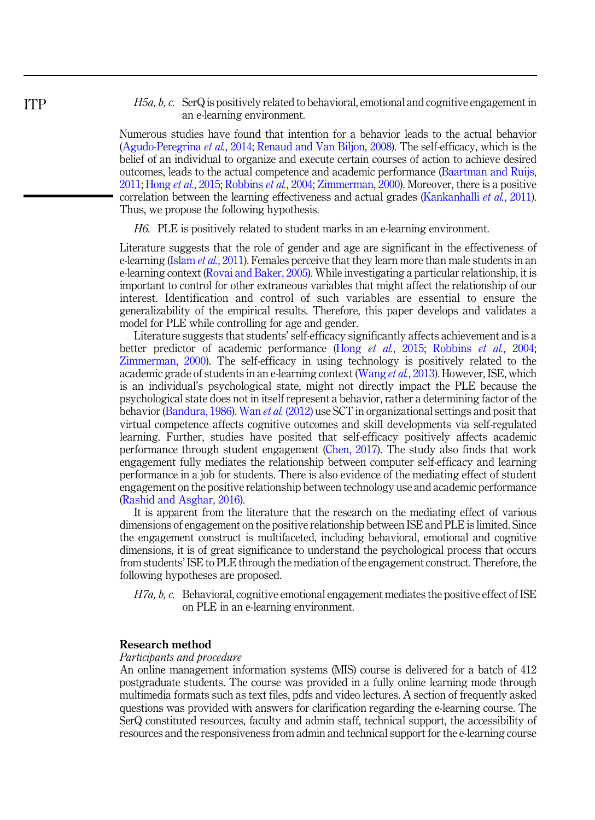# *H5a, b, c.* SerQ is positively related to behavioral, emotional and cognitive engagement in an e-learning environment.

Numerous studies have found that intention for a behavior leads to the actual behavior (Agudo-Peregrina *et al.*, 2014; Renaud and Van Biljon, 2008). The self-efficacy, which is the belief of an individual to organize and execute certain courses of action to achieve desired outcomes, leads to the actual competence and academic performance (Baartman and Ruijs, 2011; Hong *et al.*, 2015; Robbins *et al.*, 2004; Zimmerman, 2000). Moreover, there is a positive correlation between the learning effectiveness and actual grades (Kankanhalli *et al.*, 2011). Thus, we propose the following hypothesis.

*H6.* PLE is positively related to student marks in an e-learning environment.

Literature suggests that the role of gender and age are significant in the effectiveness of e-learning (Islam *et al.*, 2011). Females perceive that they learn more than male students in an e-learning context (Rovai and Baker, 2005). While investigating a particular relationship, it is important to control for other extraneous variables that might affect the relationship of our interest. Identification and control of such variables are essential to ensure the generalizability of the empirical results. Therefore, this paper develops and validates a model for PLE while controlling for age and gender.

Literature suggests that students' self-efficacy significantly affects achievement and is a better predictor of academic performance (Hong *et al.*, 2015; Robbins *et al.*, 2004; Zimmerman, 2000). The self-efficacy in using technology is positively related to the academic grade of students in an e-learning context (Wang *et al.*, 2013). However, ISE, which is an individual's psychological state, might not directly impact the PLE because the psychological state does not in itself represent a behavior, rather a determining factor of the behavior (Bandura, 1986). Wan *et al.* (2012) use SCT in organizational settings and posit that virtual competence affects cognitive outcomes and skill developments via self-regulated learning. Further, studies have posited that self-efficacy positively affects academic performance through student engagement (Chen, 2017). The study also finds that work engagement fully mediates the relationship between computer self-efficacy and learning performance in a job for students. There is also evidence of the mediating effect of student engagement on the positive relationship between technology use and academic performance (Rashid and Asghar, 2016).

It is apparent from the literature that the research on the mediating effect of various dimensions of engagement on the positive relationship between ISE and PLE is limited. Since the engagement construct is multifaceted, including behavioral, emotional and cognitive dimensions, it is of great significance to understand the psychological process that occurs from students' ISE to PLE through the mediation of the engagement construct. Therefore, the following hypotheses are proposed.

*H7a, b, c.* Behavioral, cognitive emotional engagement mediates the positive effect of ISE on PLE in an e-learning environment.

#### Research method

#### *Participants and procedure*

An online management information systems (MIS) course is delivered for a batch of 412 postgraduate students. The course was provided in a fully online learning mode through multimedia formats such as text files, pdfs and video lectures. A section of frequently asked questions was provided with answers for clarification regarding the e-learning course. The SerQ constituted resources, faculty and admin staff, technical support, the accessibility of resources and the responsiveness from admin and technical support for the e-learning course

ITP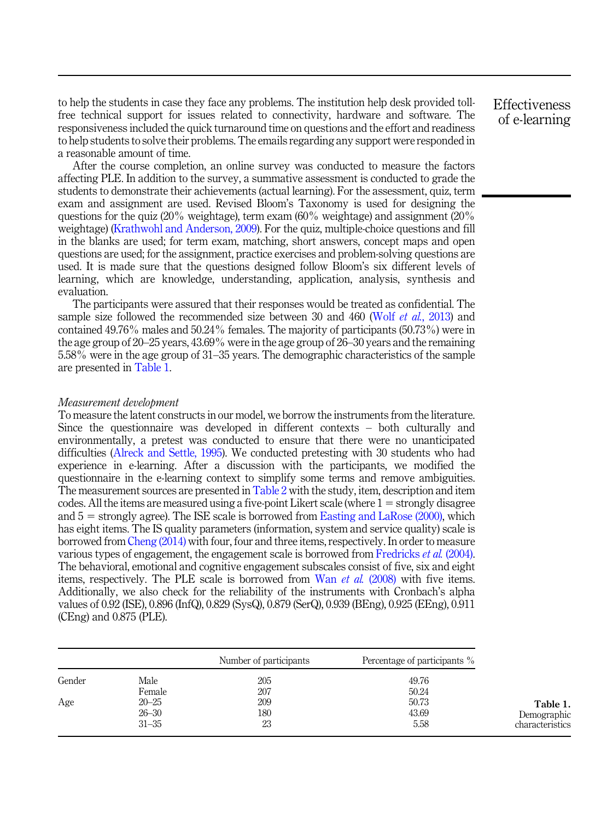to help the students in case they face any problems. The institution help desk provided tollfree technical support for issues related to connectivity, hardware and software. The responsiveness included the quick turnaround time on questions and the effort and readiness to help students to solve their problems. The emails regarding any support were responded in a reasonable amount of time.

After the course completion, an online survey was conducted to measure the factors affecting PLE. In addition to the survey, a summative assessment is conducted to grade the students to demonstrate their achievements (actual learning). For the assessment, quiz, term exam and assignment are used. Revised Bloom's Taxonomy is used for designing the questions for the quiz  $(20\% \text{ weightage})$ , term exam  $(60\% \text{ weightage})$  and assignment  $(20\% \text{ weightage})$ weightage) (Krathwohl and Anderson, 2009). For the quiz, multiple-choice questions and fill in the blanks are used; for term exam, matching, short answers, concept maps and open questions are used; for the assignment, practice exercises and problem-solving questions are used. It is made sure that the questions designed follow Bloom's six different levels of learning, which are knowledge, understanding, application, analysis, synthesis and evaluation.

The participants were assured that their responses would be treated as confidential. The sample size followed the recommended size between 30 and 460 (Wolf *et al.*, 2013) and contained 49.76% males and 50.24% females. The majority of participants (50.73%) were in the age group of 20–25 years, 43.69% were in the age group of 26–30 years and the remaining 5.58% were in the age group of 31–35 years. The demographic characteristics of the sample are presented in Table 1.

#### *Measurement development*

To measure the latent constructs in our model, we borrow the instruments from the literature. Since the questionnaire was developed in different contexts – both culturally and environmentally, a pretest was conducted to ensure that there were no unanticipated difficulties (Alreck and Settle, 1995). We conducted pretesting with 30 students who had experience in e-learning. After a discussion with the participants, we modified the questionnaire in the e-learning context to simplify some terms and remove ambiguities. The measurement sources are presented in Table 2 with the study, item, description and item codes. All the items are measured using a five-point Likert scale (where  $1 =$  strongly disagree and  $5 =$  strongly agree). The ISE scale is borrowed from Easting and LaRose (2000), which has eight items. The IS quality parameters (information, system and service quality) scale is borrowed from Cheng (2014) with four, four and three items, respectively. In order to measure various types of engagement, the engagement scale is borrowed from Fredricks *et al.* (2004). The behavioral, emotional and cognitive engagement subscales consist of five, six and eight items, respectively. The PLE scale is borrowed from Wan *et al.* (2008) with five items. Additionally, we also check for the reliability of the instruments with Cronbach's alpha values of 0.92 (ISE), 0.896 (InfQ), 0.829 (SysQ), 0.879 (SerQ), 0.939 (BEng), 0.925 (EEng), 0.911 (CEng) and 0.875 (PLE).

|        |           | Number of participants | Percentage of participants % |                 |
|--------|-----------|------------------------|------------------------------|-----------------|
| Gender | Male      | 205                    | 49.76                        |                 |
|        | Female    | 207                    | 50.24                        |                 |
| Age    | $20 - 25$ | 209                    | 50.73                        | Table 1.        |
|        | $26 - 30$ | 180                    | 43.69                        | Demographic     |
|        | $31 - 35$ | 23                     | 5.58                         | characteristics |

**Effectiveness** of e-learning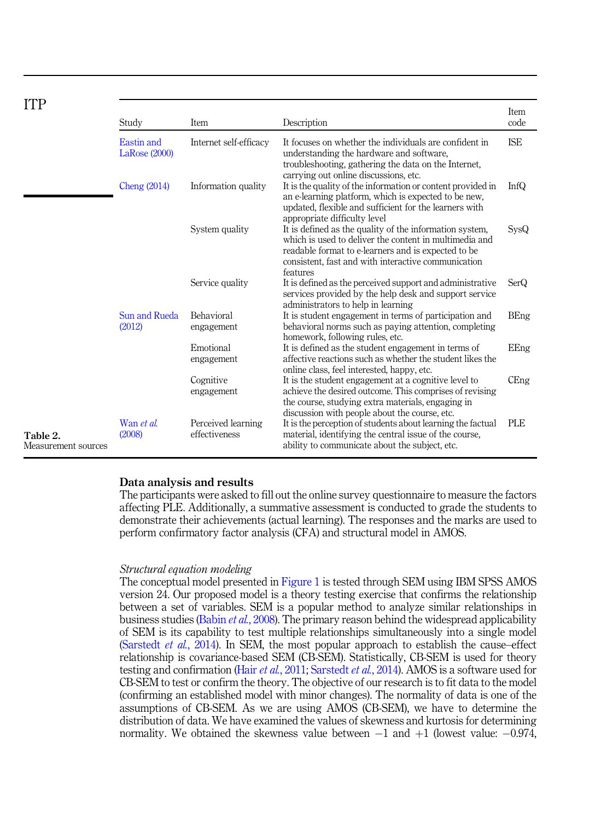|                                 | Study                         | <b>Item</b>                         | Description                                                                                                                                                                                                                                 | Item<br>code    |
|---------------------------------|-------------------------------|-------------------------------------|---------------------------------------------------------------------------------------------------------------------------------------------------------------------------------------------------------------------------------------------|-----------------|
|                                 | Eastin and<br>LaRose $(2000)$ | Internet self-efficacy              | It focuses on whether the individuals are confident in<br>understanding the hardware and software,<br>troubleshooting, gathering the data on the Internet,<br>carrying out online discussions, etc.                                         | <b>ISE</b>      |
|                                 | Cheng $(2014)$                | Information quality                 | It is the quality of the information or content provided in<br>an e-learning platform, which is expected to be new.<br>updated, flexible and sufficient for the learners with<br>appropriate difficulty level                               | InfQ            |
|                                 |                               | System quality                      | It is defined as the quality of the information system,<br>which is used to deliver the content in multimedia and<br>readable format to e-learners and is expected to be<br>consistent, fast and with interactive communication<br>features | S <sub>VS</sub> |
|                                 |                               | Service quality                     | It is defined as the perceived support and administrative<br>services provided by the help desk and support service<br>administrators to help in learning                                                                                   | SerQ            |
|                                 | Sun and Rueda<br>(2012)       | Behavioral<br>engagement            | It is student engagement in terms of participation and<br>behavioral norms such as paying attention, completing<br>homework, following rules, etc.                                                                                          | BEng            |
|                                 |                               | Emotional<br>engagement             | It is defined as the student engagement in terms of<br>affective reactions such as whether the student likes the<br>online class, feel interested, happy, etc.                                                                              | EEng            |
|                                 |                               | Cognitive<br>engagement             | It is the student engagement at a cognitive level to<br>achieve the desired outcome. This comprises of revising<br>the course, studying extra materials, engaging in<br>discussion with people about the course, etc.                       | CEng            |
| Table 2.<br>Measurement sources | Wan et al.<br>(2008)          | Perceived learning<br>effectiveness | It is the perception of students about learning the factual<br>material, identifying the central issue of the course,<br>ability to communicate about the subject, etc.                                                                     | <b>PLE</b>      |

# Data analysis and results

The participants were asked to fill out the online survey questionnaire to measure the factors affecting PLE. Additionally, a summative assessment is conducted to grade the students to demonstrate their achievements (actual learning). The responses and the marks are used to perform confirmatory factor analysis (CFA) and structural model in AMOS.

## *Structural equation modeling*

The conceptual model presented in Figure 1 is tested through SEM using IBM SPSS AMOS version 24. Our proposed model is a theory testing exercise that confirms the relationship between a set of variables. SEM is a popular method to analyze similar relationships in business studies (Babin *et al.*, 2008). The primary reason behind the widespread applicability of SEM is its capability to test multiple relationships simultaneously into a single model (Sarstedt *et al.*, 2014). In SEM, the most popular approach to establish the cause–effect relationship is covariance-based SEM (CB-SEM). Statistically, CB-SEM is used for theory testing and confirmation (Hair *et al.*, 2011; Sarstedt *et al.*, 2014). AMOS is a software used for CB-SEM to test or confirm the theory. The objective of our research is to fit data to the model (confirming an established model with minor changes). The normality of data is one of the assumptions of CB-SEM. As we are using AMOS (CB-SEM), we have to determine the distribution of data. We have examined the values of skewness and kurtosis for determining normality. We obtained the skewness value between  $-1$  and  $+1$  (lowest value:  $-0.974$ ,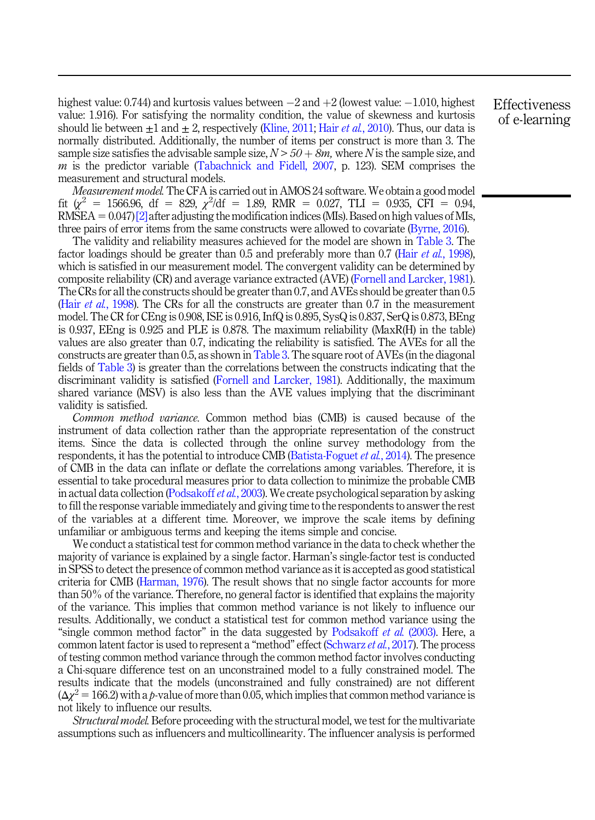highest value: 0.744) and kurtosis values between  $-2$  and  $+2$  (lowest value:  $-1.010$ , highest value: 1.916). For satisfying the normality condition, the value of skewness and kurtosis should lie between  $\pm 1$  and  $\pm 2$ , respectively (Kline, 2011; Hair *et al.*, 2010). Thus, our data is normally distributed. Additionally, the number of items per construct is more than 3. The sample size satisfies the advisable sample size,  $N > 50 + 8m$ , where *N* is the sample size, and *m* is the predictor variable (Tabachnick and Fidell, 2007, p. 123). SEM comprises the measurement and structural models.

*Measurement model.* The CFA is carried out in AMOS 24 software. We obtain a good model fit ( $\chi^2$  = 1566.96, df = 829,  $\chi^2$ /df = 1.89, RMR = 0.027, TLI = 0.935, CFI = 0.94,  $RMSEA = 0.047$  [2] after adjusting the modification indices (MIs). Based on high values of MIs, three pairs of error items from the same constructs were allowed to covariate (Byrne, 2016).

The validity and reliability measures achieved for the model are shown in Table 3. The factor loadings should be greater than 0.5 and preferably more than 0.7 (Hair *et al.*, 1998), which is satisfied in our measurement model. The convergent validity can be determined by composite reliability (CR) and average variance extracted (AVE) (Fornell and Larcker, 1981). The CRs for all the constructs should be greater than 0.7, and AVEs should be greater than 0.5 (Hair *et al.*, 1998). The CRs for all the constructs are greater than 0.7 in the measurement model. The CR for CEng is 0.908, ISE is 0.916, InfQ is 0.895, SysQ is 0.837, SerQ is 0.873, BEng is 0.937, EEng is 0.925 and PLE is 0.878. The maximum reliability (MaxR(H) in the table) values are also greater than 0.7, indicating the reliability is satisfied. The AVEs for all the constructs are greater than 0.5, as shown in Table 3. The square root of AVEs (in the diagonal fields of Table 3) is greater than the correlations between the constructs indicating that the discriminant validity is satisfied (Fornell and Larcker, 1981). Additionally, the maximum shared variance (MSV) is also less than the AVE values implying that the discriminant validity is satisfied.

*Common method variance.* Common method bias (CMB) is caused because of the instrument of data collection rather than the appropriate representation of the construct items. Since the data is collected through the online survey methodology from the respondents, it has the potential to introduce CMB (Batista-Foguet *et al.*, 2014). The presence of CMB in the data can inflate or deflate the correlations among variables. Therefore, it is essential to take procedural measures prior to data collection to minimize the probable CMB in actual data collection (Podsakoff*et al.*, 2003). We create psychological separation by asking to fill the response variable immediately and giving time to the respondents to answer the rest of the variables at a different time. Moreover, we improve the scale items by defining unfamiliar or ambiguous terms and keeping the items simple and concise.

We conduct a statistical test for common method variance in the data to check whether the majority of variance is explained by a single factor. Harman's single-factor test is conducted in SPSS to detect the presence of common method variance as it is accepted as good statistical criteria for CMB (Harman, 1976). The result shows that no single factor accounts for more than 50% of the variance. Therefore, no general factor is identified that explains the majority of the variance. This implies that common method variance is not likely to influence our results. Additionally, we conduct a statistical test for common method variance using the "single common method factor" in the data suggested by Podsakoff *et al.* (2003). Here, a common latent factor is used to represent a "method" effect (Schwarz *et al.*, 2017). The process of testing common method variance through the common method factor involves conducting a Chi-square difference test on an unconstrained model to a fully constrained model. The results indicate that the models (unconstrained and fully constrained) are not different  $(\Delta \chi^2 = 166.2)$  with a *p*-value of more than 0.05, which implies that common method variance is not likely to influence our results.

*Structural model.* Before proceeding with the structural model, we test for the multivariate assumptions such as influencers and multicollinearity. The influencer analysis is performed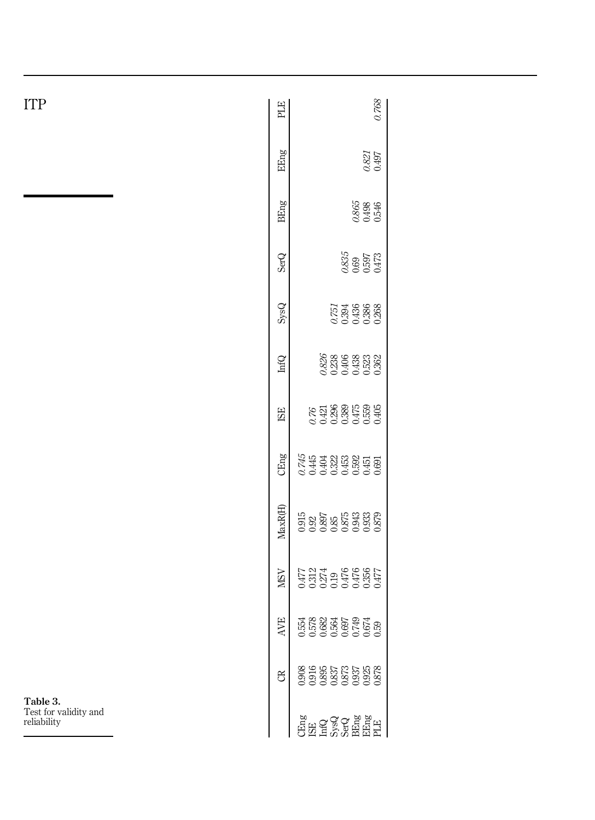ITP

|                             |                                           | 月                                             | NSV                                                | MaxR(H)                                 | CEng                                    | SE | InfQ                                     | SysQ                     | SerQ                 | BEng                    | EEng           | Ë     |
|-----------------------------|-------------------------------------------|-----------------------------------------------|----------------------------------------------------|-----------------------------------------|-----------------------------------------|----|------------------------------------------|--------------------------|----------------------|-------------------------|----------------|-------|
|                             |                                           |                                               |                                                    |                                         |                                         |    |                                          |                          |                      |                         |                |       |
| <b>GER</b><br>BERGG<br>CERE |                                           | 554<br>578 385<br>0.582<br>0.595 384<br>0.595 | 0.477<br>0.312<br>0.274<br>0.476<br>0.477<br>0.477 | 0.915<br>0.92<br>0.85<br>0.875<br>0.878 | 745<br>0.445<br>0.322<br>0.505<br>0.600 |    |                                          |                          |                      |                         |                |       |
|                             |                                           |                                               |                                                    |                                         |                                         |    |                                          |                          |                      |                         |                |       |
|                             |                                           |                                               |                                                    |                                         |                                         |    |                                          |                          |                      |                         |                |       |
|                             |                                           |                                               |                                                    |                                         |                                         |    |                                          |                          |                      |                         |                |       |
|                             |                                           |                                               |                                                    |                                         |                                         |    |                                          |                          |                      |                         |                |       |
|                             | 0.916<br>0.895<br>0.877<br>0.925<br>0.878 |                                               |                                                    |                                         |                                         |    | 2826<br>0.238<br>0.438<br>0.523<br>0.362 | 75138<br>2354388<br>2358 | 2835<br>2897<br>2973 | 0.865<br>0.498<br>0.546 |                |       |
|                             |                                           |                                               |                                                    |                                         |                                         |    |                                          |                          |                      |                         | 7.821<br>1.497 | 2.768 |
|                             |                                           |                                               |                                                    |                                         |                                         |    |                                          |                          |                      |                         |                |       |

Table 3. Test for validity and reliability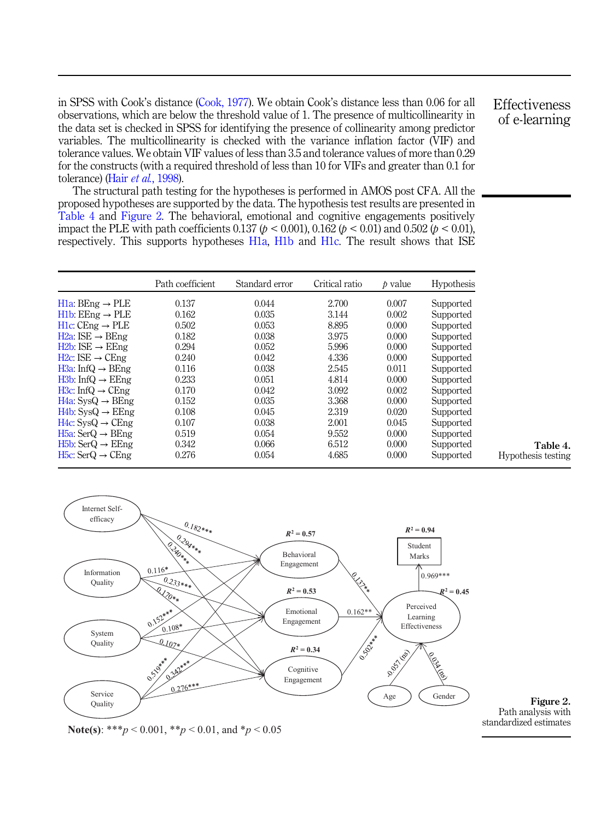in SPSS with Cook's distance (Cook, 1977). We obtain Cook's distance less than 0.06 for all observations, which are below the threshold value of 1. The presence of multicollinearity in the data set is checked in SPSS for identifying the presence of collinearity among predictor variables. The multicollinearity is checked with the variance inflation factor (VIF) and tolerance values. We obtain VIF values of less than 3.5 and tolerance values of more than 0.29 for the constructs (with a required threshold of less than 10 for VIFs and greater than 0.1 for tolerance) (Hair *et al.*, 1998).

The structural path testing for the hypotheses is performed in AMOS post CFA. All the proposed hypotheses are supported by the data. The hypothesis test results are presented in Table 4 and Figure 2. The behavioral, emotional and cognitive engagements positively impact the PLE with path coefficients  $0.137 (p \lt 0.001)$ ,  $0.162 (p \lt 0.01)$  and  $0.502 (p \lt 0.01)$ . respectively. This supports hypotheses H1a, H1b and H1c. The result shows that ISE

|                                           | Path coefficient | Standard error | Critical ratio | $b$ value | <b>Hypothesis</b> |                    |
|-------------------------------------------|------------------|----------------|----------------|-----------|-------------------|--------------------|
| H <sub>1</sub> a: BEng $\rightarrow$ PLE  | 0.137            | 0.044          | 2.700          | 0.007     | Supported         |                    |
| H <sub>1</sub> b: EEng $\rightarrow$ PLE  | 0.162            | 0.035          | 3.144          | 0.002     | Supported         |                    |
| H1c: $CEng \rightarrow PLE$               | 0.502            | 0.053          | 8.895          | 0.000     | Supported         |                    |
| H <sub>2a</sub> : ISE $\rightarrow$ BEng  | 0.182            | 0.038          | 3.975          | 0.000     | Supported         |                    |
| H <sub>2</sub> b: ISE $\rightarrow$ EEng  | 0.294            | 0.052          | 5.996          | 0.000     | Supported         |                    |
| $H2c$ : ISE $\rightarrow$ CEng            | 0.240            | 0.042          | 4.336          | 0.000     | Supported         |                    |
| H3a: Inf $Q \rightarrow BEng$             | 0.116            | 0.038          | 2.545          | 0.011     | Supported         |                    |
| $H3b$ : InfQ $\rightarrow$ EEng           | 0.233            | 0.051          | 4.814          | 0.000     | Supported         |                    |
| H3c: InfQ $\rightarrow$ CEng              | 0.170            | 0.042          | 3.092          | 0.002     | Supported         |                    |
| H4a: $SysQ \rightarrow BEng$              | 0.152            | 0.035          | 3.368          | 0.000     | Supported         |                    |
| $H4b: SysQ \rightarrow EEng$              | 0.108            | 0.045          | 2.319          | 0.020     | Supported         |                    |
| H4c: $SvsQ \rightarrow CEng$              | 0.107            | 0.038          | 2.001          | 0.045     | Supported         |                    |
| H5a: Ser $\Omega \rightarrow BEn\sigma$   | 0.519            | 0.054          | 9.552          | 0.000     | Supported         |                    |
| H <sub>5</sub> b: SerQ $\rightarrow$ EEng | 0.342            | 0.066          | 6.512          | 0.000     | Supported         | Table 4.           |
| $H5c$ : SerQ $\rightarrow$ CEng           | 0.276            | 0.054          | 4.685          | 0.000     | Supported         | Hypothesis testing |



**Note(s)**: \*\*\**p* < 0.001, \*\**p* < 0.01, and \**p* < 0.05

Figure 2. Path analysis with standardized estimates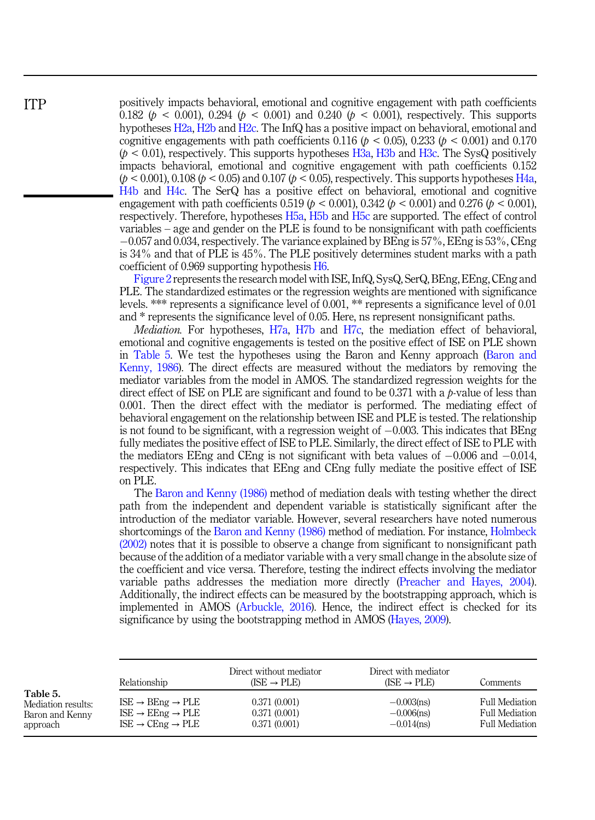positively impacts behavioral, emotional and cognitive engagement with path coefficients 0.182 ( $p < 0.001$ ), 0.294 ( $p < 0.001$ ) and 0.240 ( $p < 0.001$ ), respectively. This supports hypotheses H2a, H2b and H2c. The InfQ has a positive impact on behavioral, emotional and cognitive engagements with path coefficients 0.116 ( $p < 0.05$ ), 0.233 ( $p < 0.001$ ) and 0.170  $(p < 0.01)$ , respectively. This supports hypotheses H3a, H3b and H3c. The SysQ positively impacts behavioral, emotional and cognitive engagement with path coefficients 0.152  $(p < 0.001)$ , 0.108  $(p < 0.05)$  and 0.107  $(p < 0.05)$ , respectively. This supports hypotheses H4a, H4b and H4c. The SerQ has a positive effect on behavioral, emotional and cognitive engagement with path coefficients 0.519 (*p* < 0.001), 0.342 (*p* < 0.001) and 0.276 (*p* < 0.001), respectively. Therefore, hypotheses H5a, H5b and H5c are supported. The effect of control variables – age and gender on the PLE is found to be nonsignificant with path coefficients  $-0.057$  and 0.034, respectively. The variance explained by BEng is 57%, EEng is 53%, CEng is 34% and that of PLE is 45%. The PLE positively determines student marks with a path coefficient of 0.969 supporting hypothesis H6.

Figure 2 represents the research model with ISE, InfQ, SysQ, SerQ, BEng, EEng, CEng and PLE. The standardized estimates or the regression weights are mentioned with significance levels. \*\*\* represents a significance level of 0.001, \*\* represents a significance level of 0.01 and \* represents the significance level of 0.05. Here, ns represent nonsignificant paths.

*Mediation.* For hypotheses, H7a, H7b and H7c, the mediation effect of behavioral, emotional and cognitive engagements is tested on the positive effect of ISE on PLE shown in Table 5. We test the hypotheses using the Baron and Kenny approach (Baron and Kenny, 1986). The direct effects are measured without the mediators by removing the mediator variables from the model in AMOS. The standardized regression weights for the direct effect of ISE on PLE are significant and found to be 0.371 with a *p*-value of less than 0.001. Then the direct effect with the mediator is performed. The mediating effect of behavioral engagement on the relationship between ISE and PLE is tested. The relationship is not found to be significant, with a regression weight of  $-0.003$ . This indicates that BEng fully mediates the positive effect of ISE to PLE. Similarly, the direct effect of ISE to PLE with the mediators EEng and CEng is not significant with beta values of  $-0.006$  and  $-0.014$ . respectively. This indicates that EEng and CEng fully mediate the positive effect of ISE on PLE.

The Baron and Kenny (1986) method of mediation deals with testing whether the direct path from the independent and dependent variable is statistically significant after the introduction of the mediator variable. However, several researchers have noted numerous shortcomings of the Baron and Kenny (1986) method of mediation. For instance, Holmbeck (2002) notes that it is possible to observe a change from significant to nonsignificant path because of the addition of a mediator variable with a very small change in the absolute size of the coefficient and vice versa. Therefore, testing the indirect effects involving the mediator variable paths addresses the mediation more directly (Preacher and Hayes, 2004). Additionally, the indirect effects can be measured by the bootstrapping approach, which is implemented in AMOS (Arbuckle, 2016). Hence, the indirect effect is checked for its significance by using the bootstrapping method in AMOS (Hayes, 2009).

|                                                               | Relationship                                                                                                               | Direct without mediator<br>$(ISE \rightarrow PLE)$ | Direct with mediator<br>$(ISE \rightarrow PLE)$ | Comments                                                                |
|---------------------------------------------------------------|----------------------------------------------------------------------------------------------------------------------------|----------------------------------------------------|-------------------------------------------------|-------------------------------------------------------------------------|
| Table 5.<br>Mediation results:<br>Baron and Kenny<br>approach | $ISE \rightarrow BEng \rightarrow PLE$<br>$ISE \rightarrow EEng \rightarrow PLE$<br>$ISE \rightarrow CEng \rightarrow PLE$ | 0.371(0.001)<br>0.371(0.001)<br>0.371(0.001)       | $-0.003(ns)$<br>$-0.006$ (ns)<br>$-0.014$ (ns)  | <b>Full Mediation</b><br><b>Full Mediation</b><br><b>Full Mediation</b> |

ITP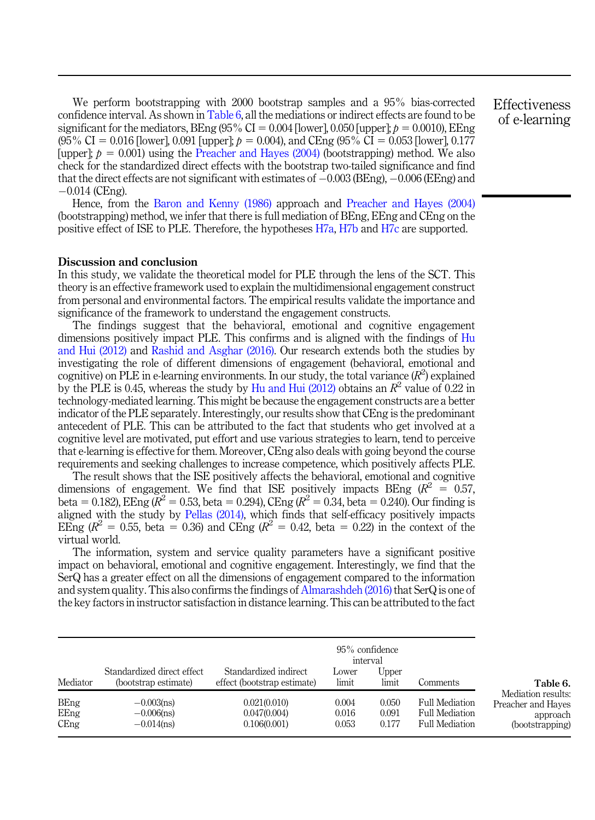We perform bootstrapping with 2000 bootstrap samples and a 95% bias-corrected confidence interval. As shown in Table 6, all the mediations or indirect effects are found to be significant for the mediators, BEng  $(95\% \text{ CI} = 0.004 \text{ [lower]}, 0.050 \text{ [upper]}, p = 0.0010)$ , EEng  $(95\% \text{ CI} = 0.016 \text{ [lower]}, 0.091 \text{ [upper]}; p = 0.004)$ , and CEng  $(95\% \text{ CI} = 0.053 \text{ [lower]}, 0.177$ [upper];  $p = 0.001$ ) using the Preacher and Hayes (2004) (bootstrapping) method. We also check for the standardized direct effects with the bootstrap two-tailed significance and find that the direct effects are not significant with estimates of  $-0.003$  (BEng),  $-0.006$  (EEng) and  $-0.014$  (CEng).

Hence, from the Baron and Kenny (1986) approach and Preacher and Hayes (2004) (bootstrapping) method, we infer that there is full mediation of BEng, EEng and CEng on the positive effect of ISE to PLE. Therefore, the hypotheses H7a, H7b and H7c are supported.

#### Discussion and conclusion

In this study, we validate the theoretical model for PLE through the lens of the SCT. This theory is an effective framework used to explain the multidimensional engagement construct from personal and environmental factors. The empirical results validate the importance and significance of the framework to understand the engagement constructs.

The findings suggest that the behavioral, emotional and cognitive engagement dimensions positively impact PLE. This confirms and is aligned with the findings of Hu and Hui (2012) and Rashid and Asghar (2016). Our research extends both the studies by investigating the role of different dimensions of engagement (behavioral, emotional and cognitive) on PLE in e-learning environments. In our study, the total variance  $(R^2)$  explained by the PLE is 0.45, whereas the study by Hu and Hui  $(2012)$  obtains an  $R^2$  value of 0.22 in technology-mediated learning. This might be because the engagement constructs are a better indicator of the PLE separately. Interestingly, our results show that CEng is the predominant antecedent of PLE. This can be attributed to the fact that students who get involved at a cognitive level are motivated, put effort and use various strategies to learn, tend to perceive that e-learning is effective for them. Moreover, CEng also deals with going beyond the course requirements and seeking challenges to increase competence, which positively affects PLE.

The result shows that the ISE positively affects the behavioral, emotional and cognitive dimensions of engagement. We find that ISE positively impacts BEng  $(R^2 = 0.57,$ beta = 0.182), EEng ( $\bar{R}^2 = 0.53$ , beta = 0.294), CEng ( $R^2 = 0.34$ , beta = 0.240). Our finding is aligned with the study by Pellas (2014), which finds that self-efficacy positively impacts EEng ( $R^2 = 0.55$ , beta = 0.36) and CEng ( $R^2 = 0.42$ , beta = 0.22) in the context of the virtual world.

The information, system and service quality parameters have a significant positive impact on behavioral, emotional and cognitive engagement. Interestingly, we find that the SerQ has a greater effect on all the dimensions of engagement compared to the information and system quality. This also confirms the findings of Almarashdeh (2016) that SerQ is one of the key factors in instructor satisfaction in distance learning. This can be attributed to the fact

|                             |                                                    |                                                      |                         | $95\%$ confidence<br>interval |                                                                         |                                                                         |
|-----------------------------|----------------------------------------------------|------------------------------------------------------|-------------------------|-------------------------------|-------------------------------------------------------------------------|-------------------------------------------------------------------------|
| Mediator                    | Standardized direct effect<br>(bootstrap estimate) | Standardized indirect<br>effect (bootstrap estimate) | Lower<br>limit          | Upper<br>limit                | Comments                                                                | Table 6.                                                                |
| <b>BEng</b><br>EEng<br>CEng | $-0.003(ns)$<br>$-0.006$ (ns)<br>$-0.014$ (ns)     | 0.021(0.010)<br>0.047(0.004)<br>0.106(0.001)         | 0.004<br>0.016<br>0.053 | 0.050<br>0.091<br>0.177       | <b>Full Mediation</b><br><b>Full Mediation</b><br><b>Full Mediation</b> | Mediation results:<br>Preacher and Hayes<br>approach<br>(bootstrapping) |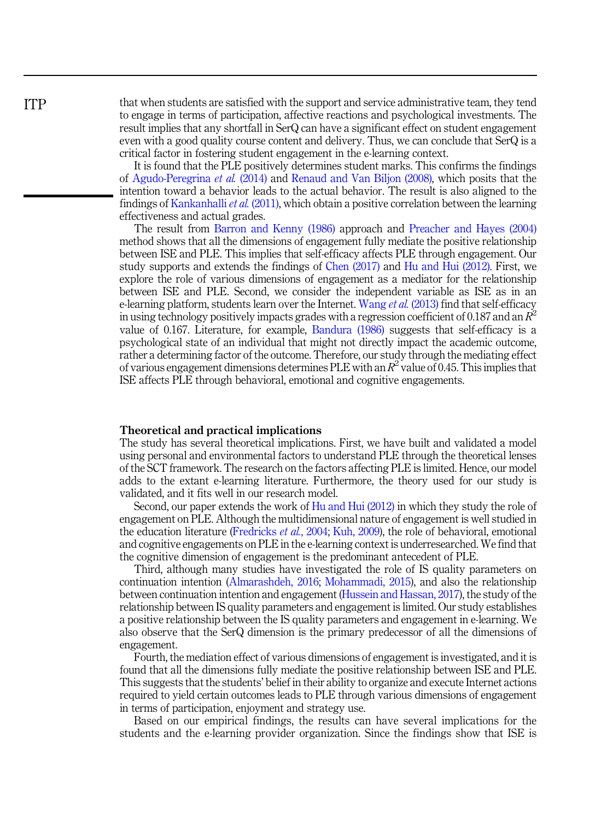that when students are satisfied with the support and service administrative team, they tend to engage in terms of participation, affective reactions and psychological investments. The result implies that any shortfall in SerQ can have a significant effect on student engagement even with a good quality course content and delivery. Thus, we can conclude that SerQ is a critical factor in fostering student engagement in the e-learning context.

It is found that the PLE positively determines student marks. This confirms the findings of Agudo-Peregrina *et al.* (2014) and Renaud and Van Biljon (2008), which posits that the intention toward a behavior leads to the actual behavior. The result is also aligned to the findings of Kankanhalli *et al.* (2011), which obtain a positive correlation between the learning effectiveness and actual grades.

The result from Barron and Kenny (1986) approach and Preacher and Hayes (2004) method shows that all the dimensions of engagement fully mediate the positive relationship between ISE and PLE. This implies that self-efficacy affects PLE through engagement. Our study supports and extends the findings of Chen (2017) and Hu and Hui (2012). First, we explore the role of various dimensions of engagement as a mediator for the relationship between ISE and PLE. Second, we consider the independent variable as ISE as in an e-learning platform, students learn over the Internet. Wang *et al.* (2013) find that self-efficacy in using technology positively impacts grades with a regression coefficient of 0.187 and an *R* 2 value of 0.167. Literature, for example, Bandura (1986) suggests that self-efficacy is a psychological state of an individual that might not directly impact the academic outcome, rather a determining factor of the outcome. Therefore, our study through the mediating effect of various engagement dimensions determines PLE with an  $R^2$  value of 0.45. This implies that ISE affects PLE through behavioral, emotional and cognitive engagements.

#### Theoretical and practical implications

The study has several theoretical implications. First, we have built and validated a model using personal and environmental factors to understand PLE through the theoretical lenses of the SCT framework. The research on the factors affecting PLE is limited. Hence, our model adds to the extant e-learning literature. Furthermore, the theory used for our study is validated, and it fits well in our research model.

Second, our paper extends the work of Hu and Hui (2012) in which they study the role of engagement on PLE. Although the multidimensional nature of engagement is well studied in the education literature (Fredricks *et al.*, 2004; Kuh, 2009), the role of behavioral, emotional and cognitive engagements on PLE in the e-learning context is underresearched. We find that the cognitive dimension of engagement is the predominant antecedent of PLE.

Third, although many studies have investigated the role of IS quality parameters on continuation intention (Almarashdeh, 2016; Mohammadi, 2015), and also the relationship between continuation intention and engagement (Hussein and Hassan, 2017), the study of the relationship between IS quality parameters and engagement is limited. Our study establishes a positive relationship between the IS quality parameters and engagement in e-learning. We also observe that the SerQ dimension is the primary predecessor of all the dimensions of engagement.

Fourth, the mediation effect of various dimensions of engagement is investigated, and it is found that all the dimensions fully mediate the positive relationship between ISE and PLE. This suggests that the students' belief in their ability to organize and execute Internet actions required to yield certain outcomes leads to PLE through various dimensions of engagement in terms of participation, enjoyment and strategy use.

Based on our empirical findings, the results can have several implications for the students and the e-learning provider organization. Since the findings show that ISE is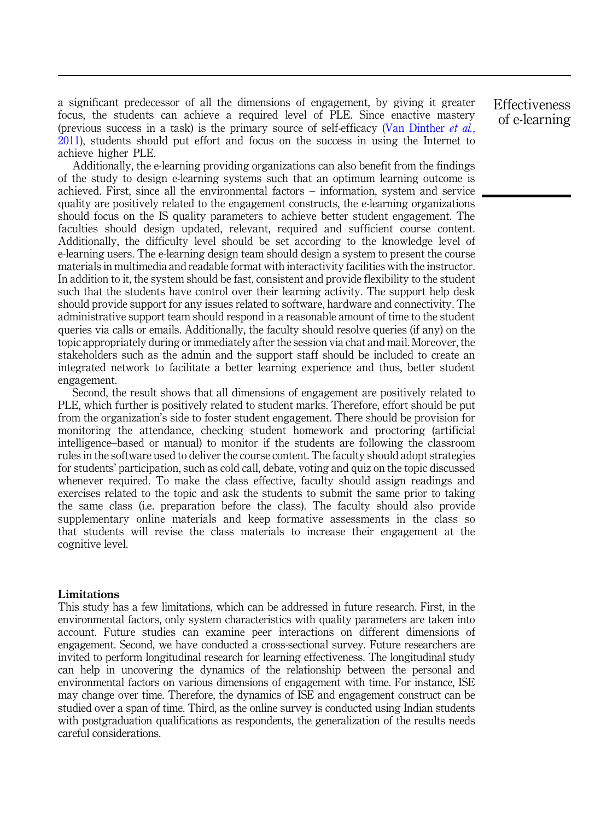a significant predecessor of all the dimensions of engagement, by giving it greater focus, the students can achieve a required level of PLE. Since enactive mastery (previous success in a task) is the primary source of self-efficacy (Van Dinther *et al.*, 2011), students should put effort and focus on the success in using the Internet to achieve higher PLE.

Additionally, the e-learning providing organizations can also benefit from the findings of the study to design e-learning systems such that an optimum learning outcome is achieved. First, since all the environmental factors – information, system and service quality are positively related to the engagement constructs, the e-learning organizations should focus on the IS quality parameters to achieve better student engagement. The faculties should design updated, relevant, required and sufficient course content. Additionally, the difficulty level should be set according to the knowledge level of e-learning users. The e-learning design team should design a system to present the course materials in multimedia and readable format with interactivity facilities with the instructor. In addition to it, the system should be fast, consistent and provide flexibility to the student such that the students have control over their learning activity. The support help desk should provide support for any issues related to software, hardware and connectivity. The administrative support team should respond in a reasonable amount of time to the student queries via calls or emails. Additionally, the faculty should resolve queries (if any) on the topic appropriately during or immediately after the session via chat and mail. Moreover, the stakeholders such as the admin and the support staff should be included to create an integrated network to facilitate a better learning experience and thus, better student engagement.

Second, the result shows that all dimensions of engagement are positively related to PLE, which further is positively related to student marks. Therefore, effort should be put from the organization's side to foster student engagement. There should be provision for monitoring the attendance, checking student homework and proctoring (artificial intelligence–based or manual) to monitor if the students are following the classroom rules in the software used to deliver the course content. The faculty should adopt strategies for students' participation, such as cold call, debate, voting and quiz on the topic discussed whenever required. To make the class effective, faculty should assign readings and exercises related to the topic and ask the students to submit the same prior to taking the same class (i.e. preparation before the class). The faculty should also provide supplementary online materials and keep formative assessments in the class so that students will revise the class materials to increase their engagement at the cognitive level.

#### Limitations

This study has a few limitations, which can be addressed in future research. First, in the environmental factors, only system characteristics with quality parameters are taken into account. Future studies can examine peer interactions on different dimensions of engagement. Second, we have conducted a cross-sectional survey. Future researchers are invited to perform longitudinal research for learning effectiveness. The longitudinal study can help in uncovering the dynamics of the relationship between the personal and environmental factors on various dimensions of engagement with time. For instance, ISE may change over time. Therefore, the dynamics of ISE and engagement construct can be studied over a span of time. Third, as the online survey is conducted using Indian students with postgraduation qualifications as respondents, the generalization of the results needs careful considerations.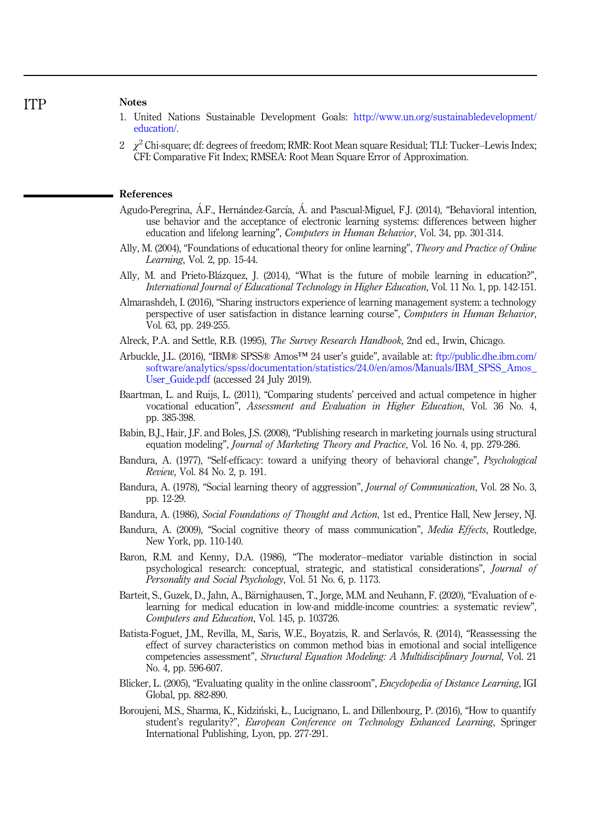## **Notes**

- 1. United Nations Sustainable Development Goals: http://www.un.org/sustainabledevelopment/ education/.
- $2 \; \; \chi^2$  Chi-square; df: degrees of freedom; RMR: Root Mean square Residual; TLI: Tucker–Lewis Index; CFI: Comparative Fit Index; RMSEA: Root Mean Square Error of Approximation.

#### References

- Agudo-Peregrina, Á.F., Hernández-García, Á. and Pascual-Miguel, F.J. (2014), "Behavioral intention, use behavior and the acceptance of electronic learning systems: differences between higher education and lifelong learning", *Computers in Human Behavior*, Vol. 34, pp. 301-314.
- Ally, M. (2004), "Foundations of educational theory for online learning", *Theory and Practice of Online Learning*, Vol. 2, pp. 15-44.
- Ally, M. and Prieto-Blazquez, J. (2014), "What is the future of mobile learning in education?", *International Journal of Educational Technology in Higher Education*, Vol. 11 No. 1, pp. 142-151.
- Almarashdeh, I. (2016), "Sharing instructors experience of learning management system: a technology perspective of user satisfaction in distance learning course", *Computers in Human Behavior*, Vol. 63, pp. 249-255.
- Alreck, P.A. and Settle, R.B. (1995), *The Survey Research Handbook*, 2nd ed., Irwin, Chicago.
- Arbuckle, J.L. (2016), "IBM® SPSS® Amos™ 24 user's guide", available at: ftp://public.dhe.ibm.com/ software/analytics/spss/documentation/statistics/24.0/en/amos/Manuals/IBM\_SPSS\_Amos\_ User\_Guide.pdf (accessed 24 July 2019).
- Baartman, L. and Ruijs, L. (2011), "Comparing students' perceived and actual competence in higher vocational education", *Assessment and Evaluation in Higher Education*, Vol. 36 No. 4, pp. 385-398.
- Babin, B.J., Hair, J.F. and Boles, J.S. (2008), "Publishing research in marketing journals using structural equation modeling", *Journal of Marketing Theory and Practice*, Vol. 16 No. 4, pp. 279-286.
- Bandura, A. (1977), "Self-efficacy: toward a unifying theory of behavioral change", *Psychological Review*, Vol. 84 No. 2, p. 191.
- Bandura, A. (1978), "Social learning theory of aggression", *Journal of Communication*, Vol. 28 No. 3, pp. 12-29.
- Bandura, A. (1986), *Social Foundations of Thought and Action*, 1st ed., Prentice Hall, New Jersey, NJ.
- Bandura, A. (2009), "Social cognitive theory of mass communication", *Media Effects*, Routledge, New York, pp. 110-140.
- Baron, R.M. and Kenny, D.A. (1986), "The moderator–mediator variable distinction in social psychological research: conceptual, strategic, and statistical considerations", *Journal of Personality and Social Psychology*, Vol. 51 No. 6, p. 1173.
- Barteit, S., Guzek, D., Jahn, A., Bärnighausen, T., Jorge, M.M. and Neuhann, F. (2020), "Evaluation of elearning for medical education in low-and middle-income countries: a systematic review", *Computers and Education*, Vol. 145, p. 103726.
- Batista-Foguet, J.M., Revilla, M., Saris, W.E., Boyatzis, R. and Serlavós, R. (2014), "Reassessing the effect of survey characteristics on common method bias in emotional and social intelligence competencies assessment", *Structural Equation Modeling: A Multidisciplinary Journal*, Vol. 21 No. 4, pp. 596-607.
- Blicker, L. (2005), "Evaluating quality in the online classroom", *Encyclopedia of Distance Learning*, IGI Global, pp. 882-890.
- Boroujeni, M.S., Sharma, K., Kidzinski, Ł., Lucignano, L. and Dillenbourg, P. (2016), "How to quantify student's regularity?", *European Conference on Technology Enhanced Learning*, Springer International Publishing, Lyon, pp. 277-291.

# ITP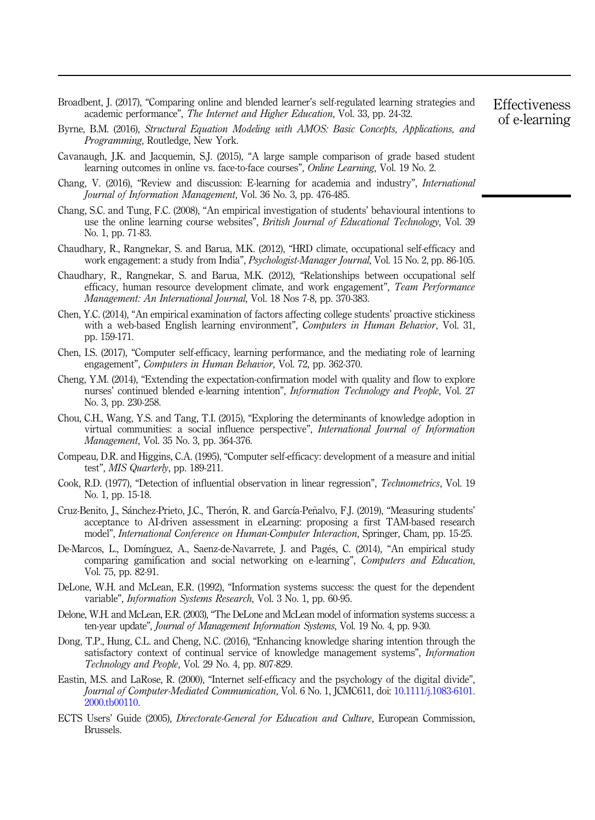- Broadbent, J. (2017), "Comparing online and blended learner's self-regulated learning strategies and academic performance", *The Internet and Higher Education*, Vol. 33, pp. 24-32.
- Byrne, B.M. (2016), *Structural Equation Modeling with AMOS: Basic Concepts, Applications, and Programming*, Routledge, New York.
- Cavanaugh, J.K. and Jacquemin, S.J. (2015), "A large sample comparison of grade based student learning outcomes in online vs. face-to-face courses", *Online Learning*, Vol. 19 No. 2.
- Chang, V. (2016), "Review and discussion: E-learning for academia and industry", *International Journal of Information Management*, Vol. 36 No. 3, pp. 476-485.
- Chang, S.C. and Tung, F.C. (2008), "An empirical investigation of students' behavioural intentions to use the online learning course websites", *British Journal of Educational Technology*, Vol. 39 No. 1, pp. 71-83.
- Chaudhary, R., Rangnekar, S. and Barua, M.K. (2012), "HRD climate, occupational self-efficacy and work engagement: a study from India", *Psychologist-Manager Journal*, Vol. 15 No. 2, pp. 86-105.
- Chaudhary, R., Rangnekar, S. and Barua, M.K. (2012), "Relationships between occupational self efficacy, human resource development climate, and work engagement", *Team Performance Management: An International Journal*, Vol. 18 Nos 7-8, pp. 370-383.
- Chen, Y.C. (2014), "An empirical examination of factors affecting college students' proactive stickiness with a web-based English learning environment", *Computers in Human Behavior*, Vol. 31, pp. 159-171.
- Chen, I.S. (2017), "Computer self-efficacy, learning performance, and the mediating role of learning engagement", *Computers in Human Behavior*, Vol. 72, pp. 362-370.
- Cheng, Y.M. (2014), "Extending the expectation-confirmation model with quality and flow to explore nurses' continued blended e-learning intention", *Information Technology and People*, Vol. 27 No. 3, pp. 230-258.
- Chou, C.H., Wang, Y.S. and Tang, T.I. (2015), "Exploring the determinants of knowledge adoption in virtual communities: a social influence perspective", *International Journal of Information Management*, Vol. 35 No. 3, pp. 364-376.
- Compeau, D.R. and Higgins, C.A. (1995), "Computer self-efficacy: development of a measure and initial test", *MIS Quarterly*, pp. 189-211.
- Cook, R.D. (1977), "Detection of influential observation in linear regression", *Technometrics*, Vol. 19 No. 1, pp. 15-18.
- Cruz-Benito, J., Sánchez-Prieto, J.C., Therón, R. and García-Peñalvo, F.J. (2019), "Measuring students' acceptance to AI-driven assessment in eLearning: proposing a first TAM-based research model", *International Conference on Human-Computer Interaction*, Springer, Cham, pp. 15-25.
- De-Marcos, L., Domínguez, A., Saenz-de-Navarrete, J. and Pagés, C. (2014), "An empirical study comparing gamification and social networking on e-learning", *Computers and Education*, Vol. 75, pp. 82-91.
- DeLone, W.H. and McLean, E.R. (1992), "Information systems success: the quest for the dependent variable", *Information Systems Research*, Vol. 3 No. 1, pp. 60-95.
- Delone, W.H. and McLean, E.R. (2003), "The DeLone and McLean model of information systems success: a ten-year update", *Journal of Management Information Systems*, Vol. 19 No. 4, pp. 9-30.
- Dong, T.P., Hung, C.L. and Cheng, N.C. (2016), "Enhancing knowledge sharing intention through the satisfactory context of continual service of knowledge management systems", *Information Technology and People*, Vol. 29 No. 4, pp. 807-829.
- Eastin, M.S. and LaRose, R. (2000), "Internet self-efficacy and the psychology of the digital divide", *Journal of Computer-Mediated Communication*, Vol. 6 No. 1, JCMC611, doi: 10.1111/j.1083-6101. 2000.tb00110.
- ECTS Users' Guide (2005), *Directorate-General for Education and Culture*, European Commission, Brussels.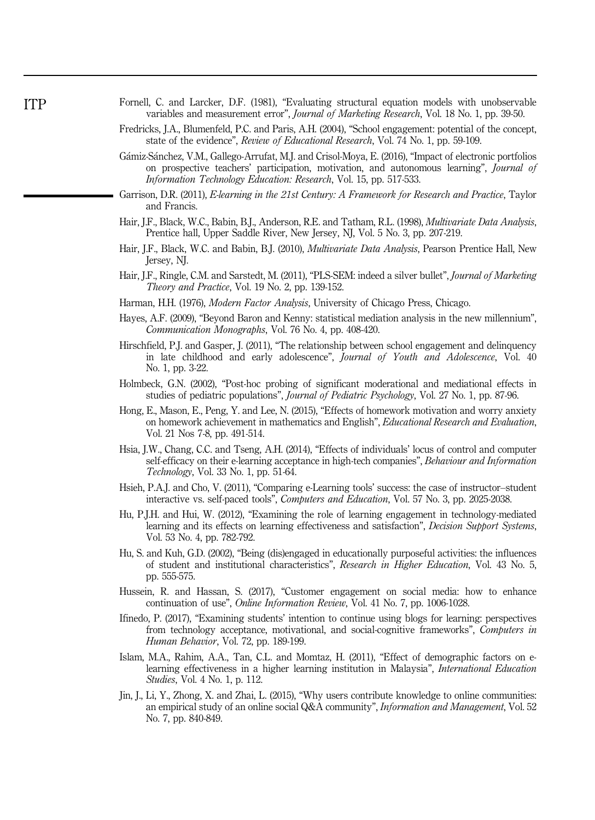|  |  |  |                                                                                                    |  |  | Fornell, C. and Larcker, D.F. (1981), "Evaluating structural equation models with unobservable |
|--|--|--|----------------------------------------------------------------------------------------------------|--|--|------------------------------------------------------------------------------------------------|
|  |  |  | variables and measurement error", <i>Journal of Marketing Research</i> , Vol. 18 No. 1, pp. 39-50. |  |  |                                                                                                |

- Fredricks, J.A., Blumenfeld, P.C. and Paris, A.H. (2004), "School engagement: potential of the concept, state of the evidence", *Review of Educational Research*, Vol. 74 No. 1, pp. 59-109.
- Gamiz-Sanchez, V.M., Gallego-Arrufat, M.J. and Crisol-Moya, E. (2016), "Impact of electronic portfolios on prospective teachers' participation, motivation, and autonomous learning", *Journal of Information Technology Education: Research*, Vol. 15, pp. 517-533.
- Garrison, D.R. (2011), *E-learning in the 21st Century: A Framework for Research and Practice*, Taylor and Francis.
- Hair, J.F., Black, W.C., Babin, B.J., Anderson, R.E. and Tatham, R.L. (1998), *Multivariate Data Analysis*, Prentice hall, Upper Saddle River, New Jersey, NJ, Vol. 5 No. 3, pp. 207-219.
- Hair, J.F., Black, W.C. and Babin, B.J. (2010), *Multivariate Data Analysis*, Pearson Prentice Hall, New Jersey, NJ.
- Hair, J.F., Ringle, C.M. and Sarstedt, M. (2011), "PLS-SEM: indeed a silver bullet", *Journal of Marketing Theory and Practice*, Vol. 19 No. 2, pp. 139-152.
- Harman, H.H. (1976), *Modern Factor Analysis*, University of Chicago Press, Chicago.
- Hayes, A.F. (2009), "Beyond Baron and Kenny: statistical mediation analysis in the new millennium", *Communication Monographs*, Vol. 76 No. 4, pp. 408-420.
- Hirschfield, P.J. and Gasper, J. (2011), "The relationship between school engagement and delinquency in late childhood and early adolescence", *Journal of Youth and Adolescence*, Vol. 40 No. 1, pp. 3-22.
- Holmbeck, G.N. (2002), "Post-hoc probing of significant moderational and mediational effects in studies of pediatric populations", *Journal of Pediatric Psychology*, Vol. 27 No. 1, pp. 87-96.
- Hong, E., Mason, E., Peng, Y. and Lee, N. (2015), "Effects of homework motivation and worry anxiety on homework achievement in mathematics and English", *Educational Research and Evaluation*, Vol. 21 Nos 7-8, pp. 491-514.
- Hsia, J.W., Chang, C.C. and Tseng, A.H. (2014), "Effects of individuals' locus of control and computer self-efficacy on their e-learning acceptance in high-tech companies", *Behaviour and Information Technology*, Vol. 33 No. 1, pp. 51-64.
- Hsieh, P.A.J. and Cho, V. (2011), "Comparing e-Learning tools' success: the case of instructor–student interactive vs. self-paced tools", *Computers and Education*, Vol. 57 No. 3, pp. 2025-2038.
- Hu, P.J.H. and Hui, W. (2012), "Examining the role of learning engagement in technology-mediated learning and its effects on learning effectiveness and satisfaction", *Decision Support Systems*, Vol. 53 No. 4, pp. 782-792.
- Hu, S. and Kuh, G.D. (2002), "Being (dis)engaged in educationally purposeful activities: the influences of student and institutional characteristics", *Research in Higher Education*, Vol. 43 No. 5, pp. 555-575.
- Hussein, R. and Hassan, S. (2017), "Customer engagement on social media: how to enhance continuation of use", *Online Information Review*, Vol. 41 No. 7, pp. 1006-1028.
- Ifinedo, P. (2017), "Examining students' intention to continue using blogs for learning: perspectives from technology acceptance, motivational, and social-cognitive frameworks", *Computers in Human Behavior*, Vol. 72, pp. 189-199.
- Islam, M.A., Rahim, A.A., Tan, C.L. and Momtaz, H. (2011), "Effect of demographic factors on elearning effectiveness in a higher learning institution in Malaysia", *International Education Studies*, Vol. 4 No. 1, p. 112.
- Jin, J., Li, Y., Zhong, X. and Zhai, L. (2015), "Why users contribute knowledge to online communities: an empirical study of an online social Q&A community", *Information and Management*, Vol. 52 No. 7, pp. 840-849.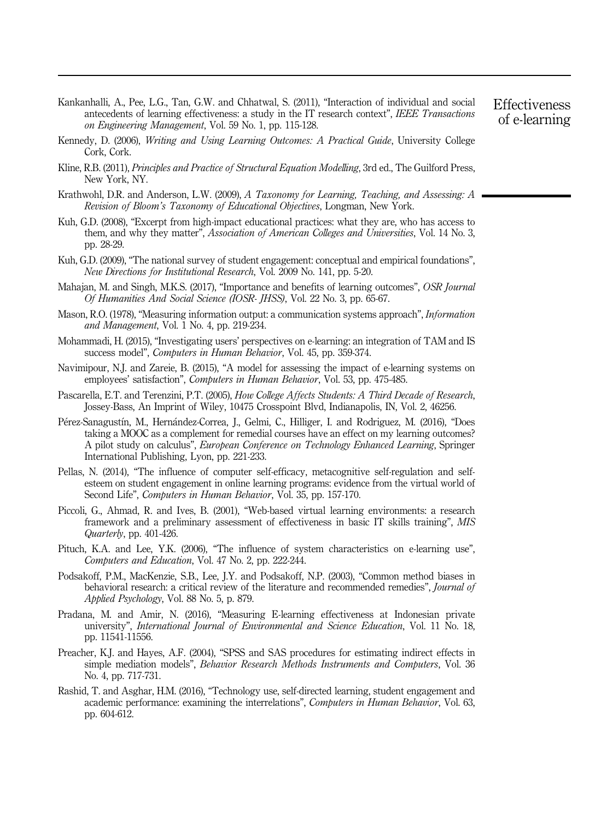- Kankanhalli, A., Pee, L.G., Tan, G.W. and Chhatwal, S. (2011), "Interaction of individual and social antecedents of learning effectiveness: a study in the IT research context", *IEEE Transactions on Engineering Management*, Vol. 59 No. 1, pp. 115-128.
- Kennedy, D. (2006), *Writing and Using Learning Outcomes: A Practical Guide*, University College Cork, Cork.
- Kline, R.B. (2011), *Principles and Practice of Structural Equation Modelling*, 3rd ed., The Guilford Press, New York, NY.
- Krathwohl, D.R. and Anderson, L.W. (2009), *A Taxonomy for Learning, Teaching, and Assessing: A Revision of Bloom*'*s Taxonomy of Educational Objectives*, Longman, New York.
- Kuh, G.D. (2008), "Excerpt from high-impact educational practices: what they are, who has access to them, and why they matter", *Association of American Colleges and Universities*, Vol. 14 No. 3, pp. 28-29.
- Kuh, G.D. (2009), "The national survey of student engagement: conceptual and empirical foundations", *New Directions for Institutional Research*, Vol. 2009 No. 141, pp. 5-20.
- Mahajan, M. and Singh, M.K.S. (2017), "Importance and benefits of learning outcomes", *OSR Journal Of Humanities And Social Science (IOSR- JHSS)*, Vol. 22 No. 3, pp. 65-67.
- Mason, R.O. (1978), "Measuring information output: a communication systems approach", *Information and Management*, Vol. 1 No. 4, pp. 219-234.
- Mohammadi, H. (2015), "Investigating users' perspectives on e-learning: an integration of TAM and IS success model", *Computers in Human Behavior*, Vol. 45, pp. 359-374.
- Navimipour, N.J. and Zareie, B. (2015), "A model for assessing the impact of e-learning systems on employees' satisfaction", *Computers in Human Behavior*, Vol. 53, pp. 475-485.
- Pascarella, E.T. and Terenzini, P.T. (2005), *How College Affects Students: A Third Decade of Research*, Jossey-Bass, An Imprint of Wiley, 10475 Crosspoint Blvd, Indianapolis, IN, Vol. 2, 46256.
- Pérez-Sanagustín, M., Hernández-Correa, J., Gelmi, C., Hilliger, I. and Rodriguez, M. (2016), "Does taking a MOOC as a complement for remedial courses have an effect on my learning outcomes? A pilot study on calculus", *European Conference on Technology Enhanced Learning*, Springer International Publishing, Lyon, pp. 221-233.
- Pellas, N. (2014), "The influence of computer self-efficacy, metacognitive self-regulation and selfesteem on student engagement in online learning programs: evidence from the virtual world of Second Life", *Computers in Human Behavior*, Vol. 35, pp. 157-170.
- Piccoli, G., Ahmad, R. and Ives, B. (2001), "Web-based virtual learning environments: a research framework and a preliminary assessment of effectiveness in basic IT skills training", *MIS Quarterly*, pp. 401-426.
- Pituch, K.A. and Lee, Y.K. (2006), "The influence of system characteristics on e-learning use", *Computers and Education*, Vol. 47 No. 2, pp. 222-244.
- Podsakoff, P.M., MacKenzie, S.B., Lee, J.Y. and Podsakoff, N.P. (2003), "Common method biases in behavioral research: a critical review of the literature and recommended remedies", *Journal of Applied Psychology*, Vol. 88 No. 5, p. 879.
- Pradana, M. and Amir, N. (2016), "Measuring E-learning effectiveness at Indonesian private university", *International Journal of Environmental and Science Education*, Vol. 11 No. 18, pp. 11541-11556.
- Preacher, K.J. and Hayes, A.F. (2004), "SPSS and SAS procedures for estimating indirect effects in simple mediation models", *Behavior Research Methods Instruments and Computers*, Vol. 36 No. 4, pp. 717-731.
- Rashid, T. and Asghar, H.M. (2016), "Technology use, self-directed learning, student engagement and academic performance: examining the interrelations", *Computers in Human Behavior*, Vol. 63, pp. 604-612.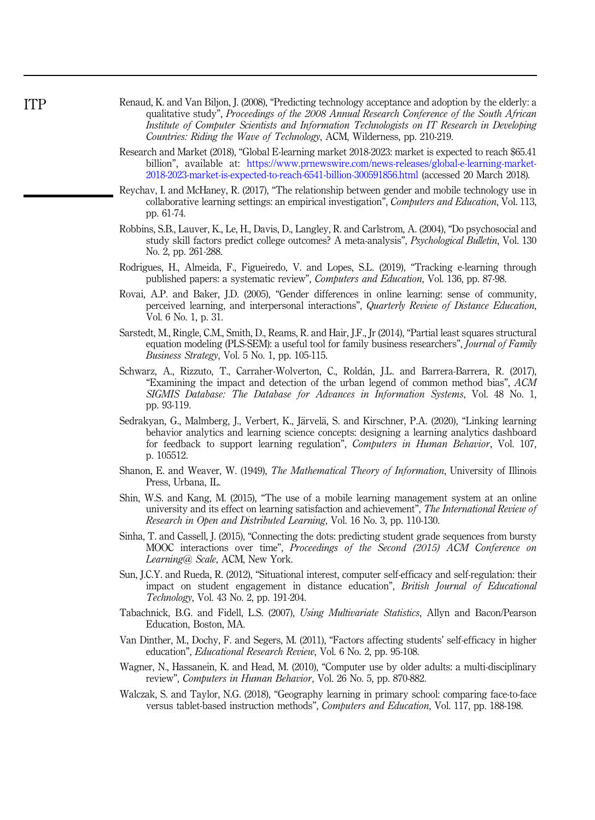- Renaud, K. and Van Biljon, J. (2008), "Predicting technology acceptance and adoption by the elderly: a qualitative study", *Proceedings of the 2008 Annual Research Conference of the South African Institute of Computer Scientists and Information Technologists on IT Research in Developing Countries: Riding the Wave of Technology*, ACM, Wilderness, pp. 210-219.
- Research and Market (2018), "Global E-learning market 2018-2023: market is expected to reach \$65.41 billion", available at: https://www.prnewswire.com/news-releases/global-e-learning-market-2018-2023-market-is-expected-to-reach-6541-billion-300591856.html (accessed 20 March 2018).
- Reychav, I. and McHaney, R. (2017), "The relationship between gender and mobile technology use in collaborative learning settings: an empirical investigation", *Computers and Education*, Vol. 113, pp. 61-74.
- Robbins, S.B., Lauver, K., Le, H., Davis, D., Langley, R. and Carlstrom, A. (2004), "Do psychosocial and study skill factors predict college outcomes? A meta-analysis", *Psychological Bulletin*, Vol. 130 No. 2, pp. 261-288.
- Rodrigues, H., Almeida, F., Figueiredo, V. and Lopes, S.L. (2019), "Tracking e-learning through published papers: a systematic review", *Computers and Education*, Vol. 136, pp. 87-98.
- Rovai, A.P. and Baker, J.D. (2005), "Gender differences in online learning: sense of community, perceived learning, and interpersonal interactions", *Quarterly Review of Distance Education*, Vol. 6 No. 1, p. 31.
- Sarstedt, M., Ringle, C.M., Smith, D., Reams, R. and Hair, J.F., Jr (2014), "Partial least squares structural equation modeling (PLS-SEM): a useful tool for family business researchers", *Journal of Family Business Strategy*, Vol. 5 No. 1, pp. 105-115.
- Schwarz, A., Rizzuto, T., Carraher-Wolverton, C., Roldán, J.L. and Barrera-Barrera, R. (2017), "Examining the impact and detection of the urban legend of common method bias", *ACM SIGMIS Database: The Database for Advances in Information Systems*, Vol. 48 No. 1, pp. 93-119.
- Sedrakyan, G., Malmberg, J., Verbert, K., Järvelä, S. and Kirschner, P.A. (2020), "Linking learning behavior analytics and learning science concepts: designing a learning analytics dashboard for feedback to support learning regulation", *Computers in Human Behavior*, Vol. 107, p. 105512.
- Shanon, E. and Weaver, W. (1949), *The Mathematical Theory of Information*, University of Illinois Press, Urbana, IL.
- Shin, W.S. and Kang, M. (2015), "The use of a mobile learning management system at an online university and its effect on learning satisfaction and achievement", *The International Review of Research in Open and Distributed Learning*, Vol. 16 No. 3, pp. 110-130.
- Sinha, T. and Cassell, J. (2015), "Connecting the dots: predicting student grade sequences from bursty MOOC interactions over time", *Proceedings of the Second (2015) ACM Conference on Learning@ Scale*, ACM, New York.
- Sun, J.C.Y. and Rueda, R. (2012), "Situational interest, computer self-efficacy and self-regulation: their impact on student engagement in distance education", *British Journal of Educational Technology*, Vol. 43 No. 2, pp. 191-204.
- Tabachnick, B.G. and Fidell, L.S. (2007), *Using Multivariate Statistics*, Allyn and Bacon/Pearson Education, Boston, MA.
- Van Dinther, M., Dochy, F. and Segers, M. (2011), "Factors affecting students' self-efficacy in higher education", *Educational Research Review*, Vol. 6 No. 2, pp. 95-108.
- Wagner, N., Hassanein, K. and Head, M. (2010), "Computer use by older adults: a multi-disciplinary review", *Computers in Human Behavior*, Vol. 26 No. 5, pp. 870-882.
- Walczak, S. and Taylor, N.G. (2018), "Geography learning in primary school: comparing face-to-face versus tablet-based instruction methods", *Computers and Education*, Vol. 117, pp. 188-198.